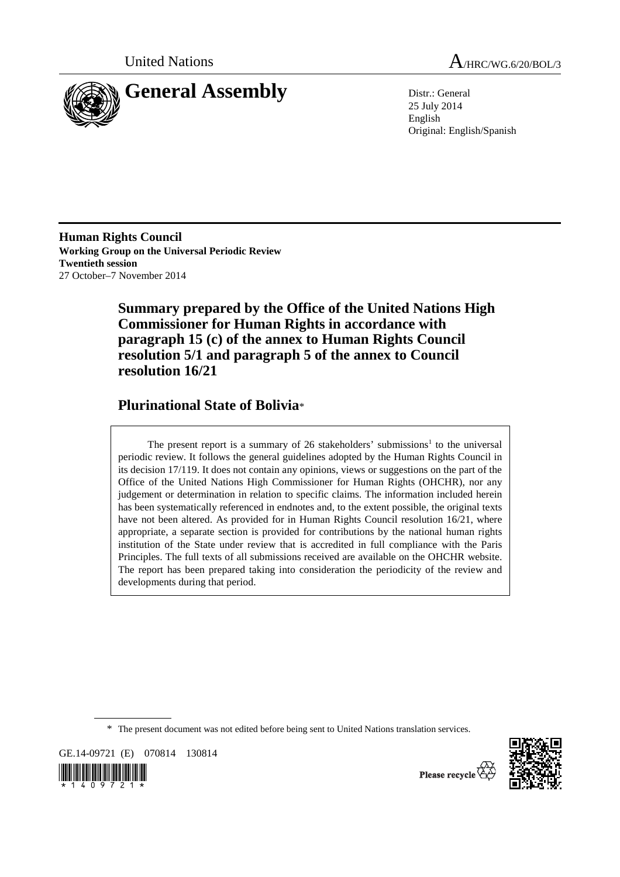



25 July 2014 English Original: English/Spanish

**Human Rights Council Working Group on the Universal Periodic Review Twentieth session**  27 October–7 November 2014

> **Summary prepared by the Office of the United Nations High Commissioner for Human Rights in accordance with paragraph 15 (c) of the annex to Human Rights Council resolution 5/1 and paragraph 5 of the annex to Council resolution 16/21**

# **Plurinational State of Bolivia**\*

The present report is a summary of  $26$  stakeholders' submissions<sup>1</sup> to the universal periodic review. It follows the general guidelines adopted by the Human Rights Council in its decision 17/119. It does not contain any opinions, views or suggestions on the part of the Office of the United Nations High Commissioner for Human Rights (OHCHR), nor any judgement or determination in relation to specific claims. The information included herein has been systematically referenced in endnotes and, to the extent possible, the original texts have not been altered. As provided for in Human Rights Council resolution 16/21, where appropriate, a separate section is provided for contributions by the national human rights institution of the State under review that is accredited in full compliance with the Paris Principles. The full texts of all submissions received are available on the OHCHR website. The report has been prepared taking into consideration the periodicity of the review and developments during that period.

\* The present document was not edited before being sent to United Nations translation services.

GE.14-09721 (E) 070814 130814





Please recycle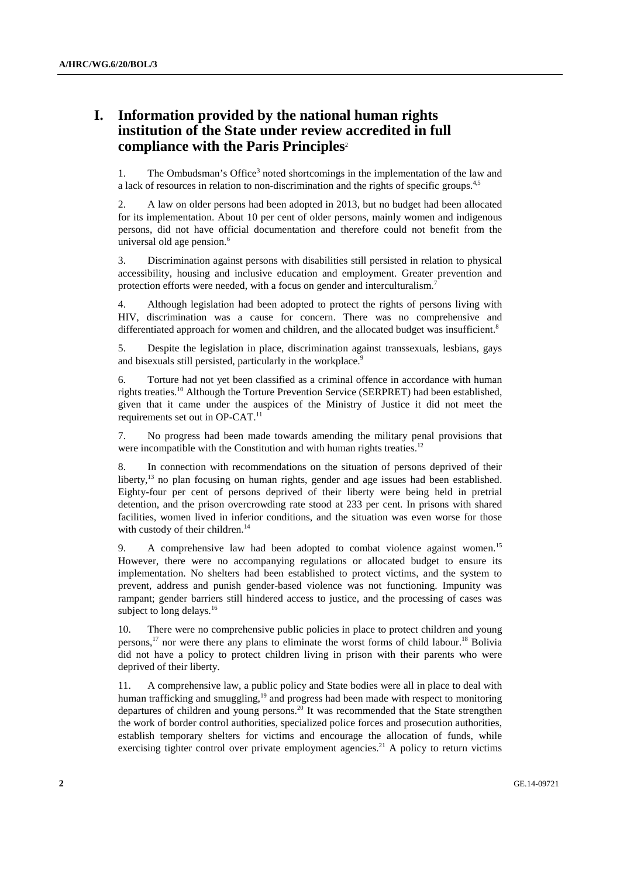# **I. Information provided by the national human rights institution of the State under review accredited in full compliance with the Paris Principles**<sup>2</sup>

1. The Ombudsman's Office<sup>3</sup> noted shortcomings in the implementation of the law and a lack of resources in relation to non-discrimination and the rights of specific groups.<sup>4,5</sup>

2. A law on older persons had been adopted in 2013, but no budget had been allocated for its implementation. About 10 per cent of older persons, mainly women and indigenous persons, did not have official documentation and therefore could not benefit from the universal old age pension.<sup>6</sup>

3. Discrimination against persons with disabilities still persisted in relation to physical accessibility, housing and inclusive education and employment. Greater prevention and protection efforts were needed, with a focus on gender and interculturalism.<sup>7</sup>

4. Although legislation had been adopted to protect the rights of persons living with HIV, discrimination was a cause for concern. There was no comprehensive and differentiated approach for women and children, and the allocated budget was insufficient.<sup>8</sup>

5. Despite the legislation in place, discrimination against transsexuals, lesbians, gays and bisexuals still persisted, particularly in the workplace.<sup>9</sup>

6. Torture had not yet been classified as a criminal offence in accordance with human rights treaties.10 Although the Torture Prevention Service (SERPRET) had been established, given that it came under the auspices of the Ministry of Justice it did not meet the requirements set out in OP-CAT.<sup>11</sup>

7. No progress had been made towards amending the military penal provisions that were incompatible with the Constitution and with human rights treaties.<sup>12</sup>

8. In connection with recommendations on the situation of persons deprived of their liberty,<sup>13</sup> no plan focusing on human rights, gender and age issues had been established. Eighty-four per cent of persons deprived of their liberty were being held in pretrial detention, and the prison overcrowding rate stood at 233 per cent. In prisons with shared facilities, women lived in inferior conditions, and the situation was even worse for those with custody of their children.<sup>14</sup>

9. A comprehensive law had been adopted to combat violence against women.<sup>15</sup> However, there were no accompanying regulations or allocated budget to ensure its implementation. No shelters had been established to protect victims, and the system to prevent, address and punish gender-based violence was not functioning. Impunity was rampant; gender barriers still hindered access to justice, and the processing of cases was subject to long delays. $16$ 

10. There were no comprehensive public policies in place to protect children and young persons,<sup>17</sup> nor were there any plans to eliminate the worst forms of child labour.<sup>18</sup> Bolivia did not have a policy to protect children living in prison with their parents who were deprived of their liberty.

11. A comprehensive law, a public policy and State bodies were all in place to deal with human trafficking and smuggling,<sup>19</sup> and progress had been made with respect to monitoring departures of children and young persons.<sup>20</sup> It was recommended that the State strengthen the work of border control authorities, specialized police forces and prosecution authorities, establish temporary shelters for victims and encourage the allocation of funds, while exercising tighter control over private employment agencies.<sup>21</sup> A policy to return victims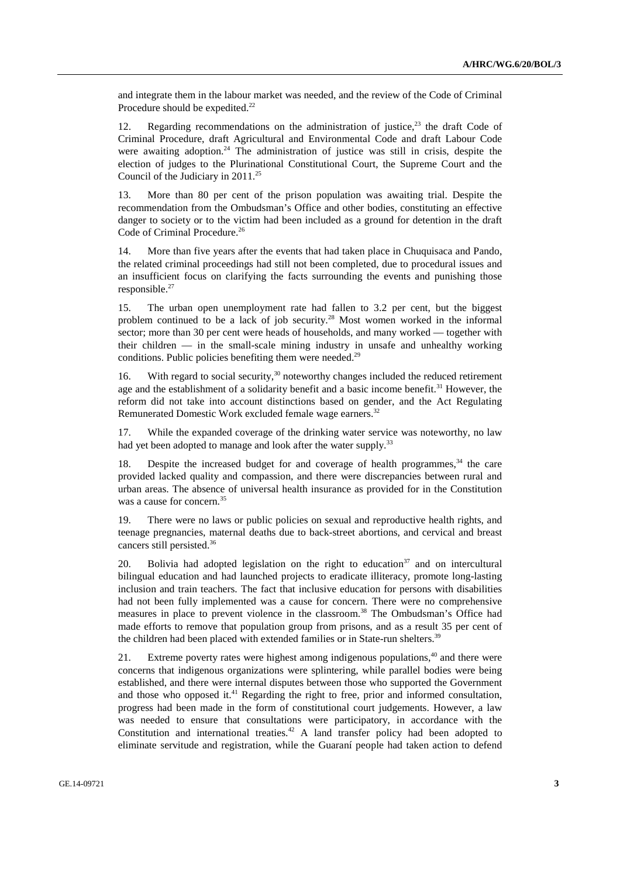and integrate them in the labour market was needed, and the review of the Code of Criminal Procedure should be expedited.<sup>22</sup>

12. Regarding recommendations on the administration of justice, $2<sup>3</sup>$  the draft Code of Criminal Procedure, draft Agricultural and Environmental Code and draft Labour Code were awaiting adoption.<sup>24</sup> The administration of justice was still in crisis, despite the election of judges to the Plurinational Constitutional Court, the Supreme Court and the Council of the Judiciary in 2011.<sup>25</sup>

13. More than 80 per cent of the prison population was awaiting trial. Despite the recommendation from the Ombudsman's Office and other bodies, constituting an effective danger to society or to the victim had been included as a ground for detention in the draft Code of Criminal Procedure.<sup>26</sup>

14. More than five years after the events that had taken place in Chuquisaca and Pando, the related criminal proceedings had still not been completed, due to procedural issues and an insufficient focus on clarifying the facts surrounding the events and punishing those responsible.<sup>27</sup>

15. The urban open unemployment rate had fallen to 3.2 per cent, but the biggest problem continued to be a lack of job security.28 Most women worked in the informal sector; more than 30 per cent were heads of households, and many worked — together with their children — in the small-scale mining industry in unsafe and unhealthy working conditions. Public policies benefiting them were needed.<sup>29</sup>

16. With regard to social security,<sup>30</sup> noteworthy changes included the reduced retirement age and the establishment of a solidarity benefit and a basic income benefit.<sup>31</sup> However, the reform did not take into account distinctions based on gender, and the Act Regulating Remunerated Domestic Work excluded female wage earners.<sup>32</sup>

17. While the expanded coverage of the drinking water service was noteworthy, no law had yet been adopted to manage and look after the water supply.<sup>33</sup>

18. Despite the increased budget for and coverage of health programmes,<sup>34</sup> the care provided lacked quality and compassion, and there were discrepancies between rural and urban areas. The absence of universal health insurance as provided for in the Constitution was a cause for concern.<sup>35</sup>

19. There were no laws or public policies on sexual and reproductive health rights, and teenage pregnancies, maternal deaths due to back-street abortions, and cervical and breast cancers still persisted.36

20. Bolivia had adopted legislation on the right to education  $37$  and on intercultural bilingual education and had launched projects to eradicate illiteracy, promote long-lasting inclusion and train teachers. The fact that inclusive education for persons with disabilities had not been fully implemented was a cause for concern. There were no comprehensive measures in place to prevent violence in the classroom.38 The Ombudsman's Office had made efforts to remove that population group from prisons, and as a result 35 per cent of the children had been placed with extended families or in State-run shelters.<sup>39</sup>

21. Extreme poverty rates were highest among indigenous populations, $40$  and there were concerns that indigenous organizations were splintering, while parallel bodies were being established, and there were internal disputes between those who supported the Government and those who opposed it.<sup>41</sup> Regarding the right to free, prior and informed consultation, progress had been made in the form of constitutional court judgements. However, a law was needed to ensure that consultations were participatory, in accordance with the Constitution and international treaties.<sup>42</sup> A land transfer policy had been adopted to eliminate servitude and registration, while the Guaraní people had taken action to defend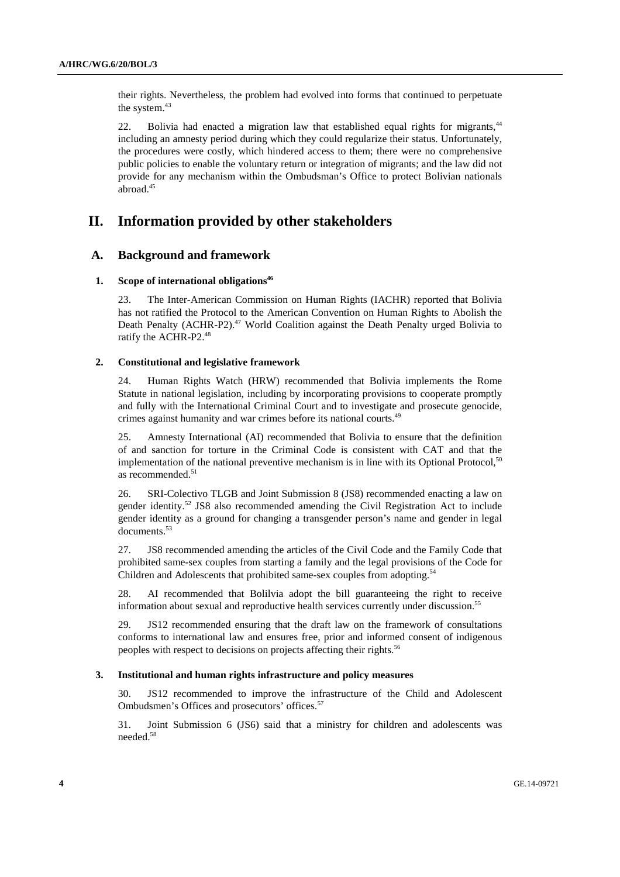their rights. Nevertheless, the problem had evolved into forms that continued to perpetuate the system.<sup>43</sup>

22. Bolivia had enacted a migration law that established equal rights for migrants,<sup>44</sup> including an amnesty period during which they could regularize their status. Unfortunately, the procedures were costly, which hindered access to them; there were no comprehensive public policies to enable the voluntary return or integration of migrants; and the law did not provide for any mechanism within the Ombudsman's Office to protect Bolivian nationals abroad. $45$ 

# **II. Information provided by other stakeholders**

# **A. Background and framework**

## **1.** Scope of international obligations<sup>46</sup>

23. The Inter-American Commission on Human Rights (IACHR) reported that Bolivia has not ratified the Protocol to the American Convention on Human Rights to Abolish the Death Penalty (ACHR-P2). $47$  World Coalition against the Death Penalty urged Bolivia to ratify the ACHR-P2.48

## **2. Constitutional and legislative framework**

24. Human Rights Watch (HRW) recommended that Bolivia implements the Rome Statute in national legislation, including by incorporating provisions to cooperate promptly and fully with the International Criminal Court and to investigate and prosecute genocide, crimes against humanity and war crimes before its national courts.49

25. Amnesty International (AI) recommended that Bolivia to ensure that the definition of and sanction for torture in the Criminal Code is consistent with CAT and that the implementation of the national preventive mechanism is in line with its Optional Protocol, $50$ as recommended.<sup>51</sup>

26. SRI-Colectivo TLGB and Joint Submission 8 (JS8) recommended enacting a law on gender identity.<sup>52</sup> JS8 also recommended amending the Civil Registration Act to include gender identity as a ground for changing a transgender person's name and gender in legal documents.<sup>53</sup>

27. JS8 recommended amending the articles of the Civil Code and the Family Code that prohibited same-sex couples from starting a family and the legal provisions of the Code for Children and Adolescents that prohibited same-sex couples from adopting.<sup>54</sup>

28. AI recommended that Bolilvia adopt the bill guaranteeing the right to receive information about sexual and reproductive health services currently under discussion.<sup>55</sup>

29. JS12 recommended ensuring that the draft law on the framework of consultations conforms to international law and ensures free, prior and informed consent of indigenous peoples with respect to decisions on projects affecting their rights.<sup>56</sup>

#### **3. Institutional and human rights infrastructure and policy measures**

30. JS12 recommended to improve the infrastructure of the Child and Adolescent Ombudsmen's Offices and prosecutors' offices.<sup>57</sup>

31. Joint Submission 6 (JS6) said that a ministry for children and adolescents was needed.58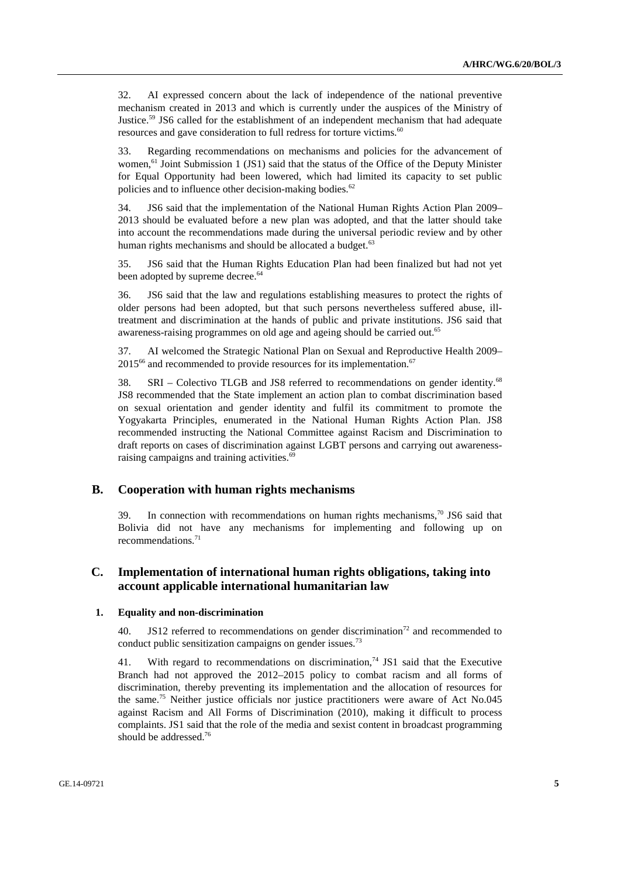32. AI expressed concern about the lack of independence of the national preventive mechanism created in 2013 and which is currently under the auspices of the Ministry of Justice.<sup>59</sup> JS6 called for the establishment of an independent mechanism that had adequate resources and gave consideration to full redress for torture victims.<sup>60</sup>

33. Regarding recommendations on mechanisms and policies for the advancement of women,<sup>61</sup> Joint Submission 1 (JS1) said that the status of the Office of the Deputy Minister for Equal Opportunity had been lowered, which had limited its capacity to set public policies and to influence other decision-making bodies.<sup>62</sup>

34. JS6 said that the implementation of the National Human Rights Action Plan 2009– 2013 should be evaluated before a new plan was adopted, and that the latter should take into account the recommendations made during the universal periodic review and by other human rights mechanisms and should be allocated a budget.<sup>63</sup>

35. JS6 said that the Human Rights Education Plan had been finalized but had not yet been adopted by supreme decree.<sup>64</sup>

36. JS6 said that the law and regulations establishing measures to protect the rights of older persons had been adopted, but that such persons nevertheless suffered abuse, illtreatment and discrimination at the hands of public and private institutions. JS6 said that awareness-raising programmes on old age and ageing should be carried out.<sup>65</sup>

37. AI welcomed the Strategic National Plan on Sexual and Reproductive Health 2009–  $2015<sup>66</sup>$  and recommended to provide resources for its implementation.<sup>67</sup>

38. SRI – Colectivo TLGB and JS8 referred to recommendations on gender identity.68 JS8 recommended that the State implement an action plan to combat discrimination based on sexual orientation and gender identity and fulfil its commitment to promote the Yogyakarta Principles, enumerated in the National Human Rights Action Plan. JS8 recommended instructing the National Committee against Racism and Discrimination to draft reports on cases of discrimination against LGBT persons and carrying out awarenessraising campaigns and training activities.<sup>69</sup>

# **B. Cooperation with human rights mechanisms**

39. In connection with recommendations on human rights mechanisms,<sup>70</sup> JS6 said that Bolivia did not have any mechanisms for implementing and following up on recommendations.71

# **C. Implementation of international human rights obligations, taking into account applicable international humanitarian law**

## **1. Equality and non-discrimination**

40. JS12 referred to recommendations on gender discrimination<sup>72</sup> and recommended to conduct public sensitization campaigns on gender issues.<sup>73</sup>

41. With regard to recommendations on discrimination,<sup>74</sup> JS1 said that the Executive Branch had not approved the 2012–2015 policy to combat racism and all forms of discrimination, thereby preventing its implementation and the allocation of resources for the same.<sup>75</sup> Neither justice officials nor justice practitioners were aware of Act No.045 against Racism and All Forms of Discrimination (2010), making it difficult to process complaints. JS1 said that the role of the media and sexist content in broadcast programming should be addressed.76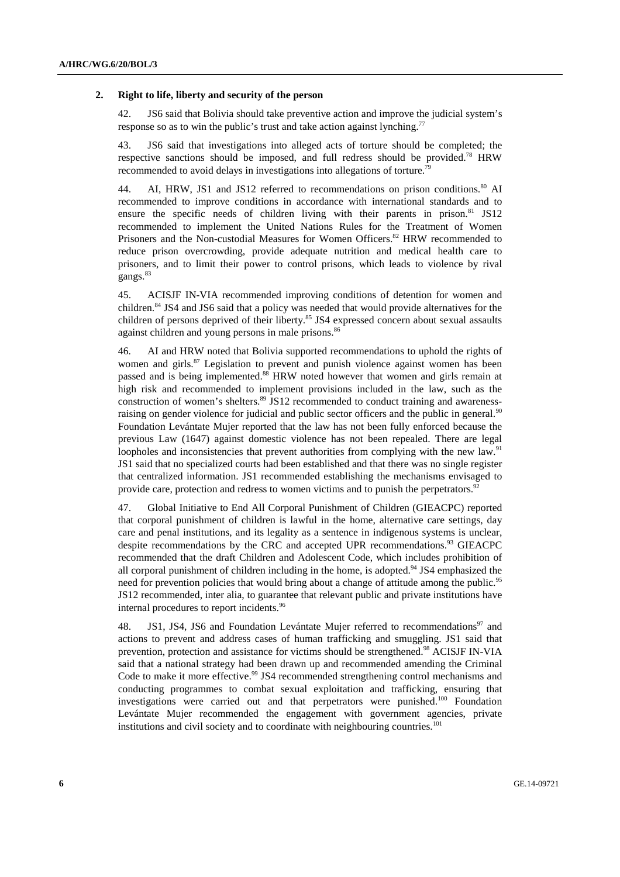#### **2. Right to life, liberty and security of the person**

42. JS6 said that Bolivia should take preventive action and improve the judicial system's response so as to win the public's trust and take action against lynching.<sup>7</sup>

43. JS6 said that investigations into alleged acts of torture should be completed; the respective sanctions should be imposed, and full redress should be provided.<sup>78</sup> HRW recommended to avoid delays in investigations into allegations of torture.79

44. AI, HRW, JS1 and JS12 referred to recommendations on prison conditions.<sup>80</sup> AI recommended to improve conditions in accordance with international standards and to ensure the specific needs of children living with their parents in prison.<sup>81</sup> JS12 recommended to implement the United Nations Rules for the Treatment of Women Prisoners and the Non-custodial Measures for Women Officers.<sup>82</sup> HRW recommended to reduce prison overcrowding, provide adequate nutrition and medical health care to prisoners, and to limit their power to control prisons, which leads to violence by rival gangs.<sup>83</sup>

45. ACISJF IN-VIA recommended improving conditions of detention for women and children.<sup>84</sup> JS4 and JS6 said that a policy was needed that would provide alternatives for the children of persons deprived of their liberty.<sup>85</sup> JS4 expressed concern about sexual assaults against children and young persons in male prisons.<sup>86</sup>

46. AI and HRW noted that Bolivia supported recommendations to uphold the rights of women and girls.<sup>87</sup> Legislation to prevent and punish violence against women has been passed and is being implemented.88 HRW noted however that women and girls remain at high risk and recommended to implement provisions included in the law, such as the construction of women's shelters. $89$  JS12 recommended to conduct training and awarenessraising on gender violence for judicial and public sector officers and the public in general.<sup>90</sup> Foundation Levántate Mujer reported that the law has not been fully enforced because the previous Law (1647) against domestic violence has not been repealed. There are legal loopholes and inconsistencies that prevent authorities from complying with the new law.<sup>91</sup> JS1 said that no specialized courts had been established and that there was no single register that centralized information. JS1 recommended establishing the mechanisms envisaged to provide care, protection and redress to women victims and to punish the perpetrators.<sup>92</sup>

47. Global Initiative to End All Corporal Punishment of Children (GIEACPC) reported that corporal punishment of children is lawful in the home, alternative care settings, day care and penal institutions, and its legality as a sentence in indigenous systems is unclear, despite recommendations by the CRC and accepted UPR recommendations.<sup>93</sup> GIEACPC recommended that the draft Children and Adolescent Code, which includes prohibition of all corporal punishment of children including in the home, is adopted.<sup>94</sup> JS4 emphasized the need for prevention policies that would bring about a change of attitude among the public.<sup>95</sup> JS12 recommended, inter alia, to guarantee that relevant public and private institutions have internal procedures to report incidents.<sup>96</sup>

48. JS1, JS4, JS6 and Foundation Levántate Mujer referred to recommendations<sup>97</sup> and actions to prevent and address cases of human trafficking and smuggling. JS1 said that prevention, protection and assistance for victims should be strengthened.98 ACISJF IN-VIA said that a national strategy had been drawn up and recommended amending the Criminal Code to make it more effective.<sup>99</sup> JS4 recommended strengthening control mechanisms and conducting programmes to combat sexual exploitation and trafficking, ensuring that investigations were carried out and that perpetrators were punished.100 Foundation Levántate Mujer recommended the engagement with government agencies, private institutions and civil society and to coordinate with neighbouring countries.<sup>101</sup>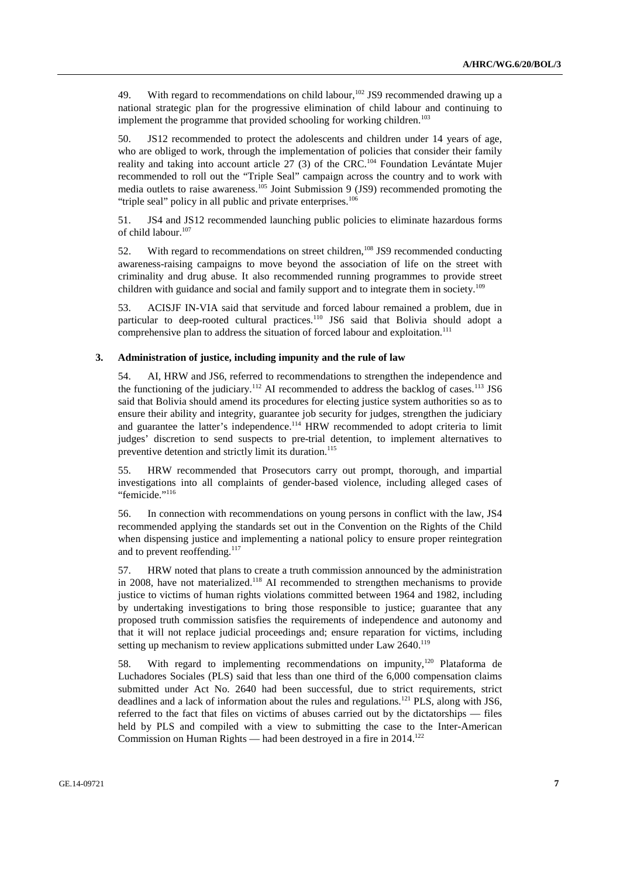49. With regard to recommendations on child labour,  $102$  JS9 recommended drawing up a national strategic plan for the progressive elimination of child labour and continuing to implement the programme that provided schooling for working children.<sup>103</sup>

50. JS12 recommended to protect the adolescents and children under 14 years of age, who are obliged to work, through the implementation of policies that consider their family reality and taking into account article 27 (3) of the CRC.<sup>104</sup> Foundation Levántate Mujer recommended to roll out the "Triple Seal" campaign across the country and to work with media outlets to raise awareness.<sup>105</sup> Joint Submission 9 (JS9) recommended promoting the "triple seal" policy in all public and private enterprises.<sup>106</sup>

51. JS4 and JS12 recommended launching public policies to eliminate hazardous forms of child labour.<sup>107</sup>

52. With regard to recommendations on street children,<sup>108</sup> JS9 recommended conducting awareness-raising campaigns to move beyond the association of life on the street with criminality and drug abuse. It also recommended running programmes to provide street children with guidance and social and family support and to integrate them in society.<sup>109</sup>

53. ACISJF IN-VIA said that servitude and forced labour remained a problem, due in particular to deep-rooted cultural practices.<sup>110</sup> JS6 said that Bolivia should adopt a comprehensive plan to address the situation of forced labour and exploitation.<sup>111</sup>

#### **3. Administration of justice, including impunity and the rule of law**

54. AI, HRW and JS6, referred to recommendations to strengthen the independence and the functioning of the judiciary.<sup>112</sup> AI recommended to address the backlog of cases.<sup>113</sup> JS6 said that Bolivia should amend its procedures for electing justice system authorities so as to ensure their ability and integrity, guarantee job security for judges, strengthen the judiciary and guarantee the latter's independence.<sup>114</sup> HRW recommended to adopt criteria to limit judges' discretion to send suspects to pre-trial detention, to implement alternatives to preventive detention and strictly limit its duration.<sup>115</sup>

55. HRW recommended that Prosecutors carry out prompt, thorough, and impartial investigations into all complaints of gender-based violence, including alleged cases of "femicide."<sup>116</sup>

56. In connection with recommendations on young persons in conflict with the law, JS4 recommended applying the standards set out in the Convention on the Rights of the Child when dispensing justice and implementing a national policy to ensure proper reintegration and to prevent reoffending.<sup>117</sup>

57. HRW noted that plans to create a truth commission announced by the administration in 2008, have not materialized.<sup>118</sup> AI recommended to strengthen mechanisms to provide justice to victims of human rights violations committed between 1964 and 1982, including by undertaking investigations to bring those responsible to justice; guarantee that any proposed truth commission satisfies the requirements of independence and autonomy and that it will not replace judicial proceedings and; ensure reparation for victims, including setting up mechanism to review applications submitted under Law 2640.<sup>119</sup>

58. With regard to implementing recommendations on impunity,<sup>120</sup> Plataforma de Luchadores Sociales (PLS) said that less than one third of the 6,000 compensation claims submitted under Act No. 2640 had been successful, due to strict requirements, strict deadlines and a lack of information about the rules and regulations.121 PLS, along with JS6, referred to the fact that files on victims of abuses carried out by the dictatorships — files held by PLS and compiled with a view to submitting the case to the Inter-American Commission on Human Rights — had been destroyed in a fire in 2014.<sup>122</sup>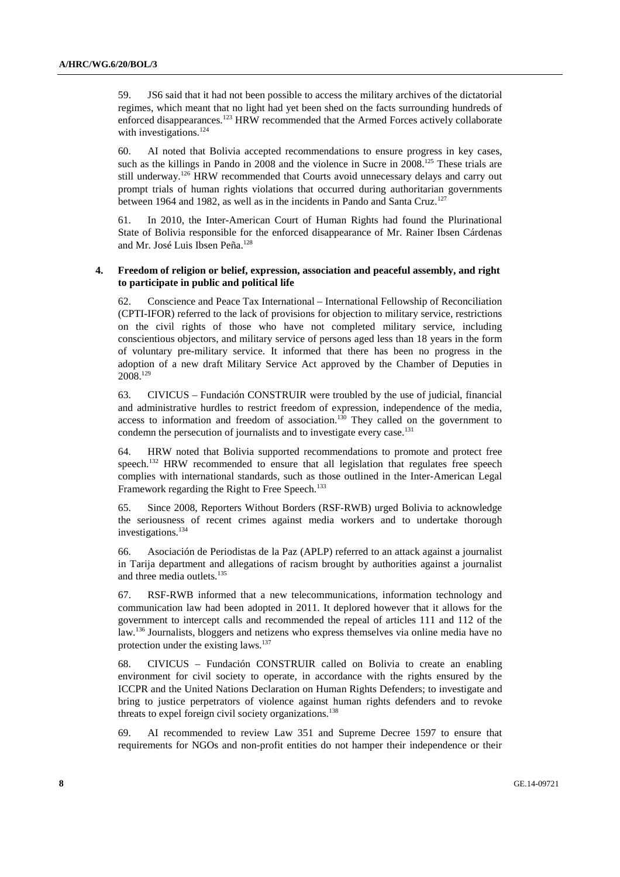59. JS6 said that it had not been possible to access the military archives of the dictatorial regimes, which meant that no light had yet been shed on the facts surrounding hundreds of enforced disappearances.<sup>123</sup> HRW recommended that the Armed Forces actively collaborate with investigations. $124$ 

60. AI noted that Bolivia accepted recommendations to ensure progress in key cases, such as the killings in Pando in 2008 and the violence in Sucre in 2008.<sup>125</sup> These trials are still underway.<sup>126</sup> HRW recommended that Courts avoid unnecessary delays and carry out prompt trials of human rights violations that occurred during authoritarian governments between 1964 and 1982, as well as in the incidents in Pando and Santa Cruz.<sup>127</sup>

61. In 2010, the Inter-American Court of Human Rights had found the Plurinational State of Bolivia responsible for the enforced disappearance of Mr. Rainer Ibsen Cárdenas and Mr. José Luis Ibsen Peña.128

#### **4. Freedom of religion or belief, expression, association and peaceful assembly, and right to participate in public and political life**

62. Conscience and Peace Tax International – International Fellowship of Reconciliation (CPTI-IFOR) referred to the lack of provisions for objection to military service, restrictions on the civil rights of those who have not completed military service, including conscientious objectors, and military service of persons aged less than 18 years in the form of voluntary pre-military service. It informed that there has been no progress in the adoption of a new draft Military Service Act approved by the Chamber of Deputies in  $2008.<sup>129</sup>$ 

63. CIVICUS – Fundación CONSTRUIR were troubled by the use of judicial, financial and administrative hurdles to restrict freedom of expression, independence of the media, access to information and freedom of association.<sup>130</sup> They called on the government to condemn the persecution of journalists and to investigate every case.<sup>131</sup>

64. HRW noted that Bolivia supported recommendations to promote and protect free speech.<sup>132</sup> HRW recommended to ensure that all legislation that regulates free speech complies with international standards, such as those outlined in the Inter-American Legal Framework regarding the Right to Free Speech.<sup>133</sup>

65. Since 2008, Reporters Without Borders (RSF-RWB) urged Bolivia to acknowledge the seriousness of recent crimes against media workers and to undertake thorough investigations.<sup>134</sup>

66. Asociación de Periodistas de la Paz (APLP) referred to an attack against a journalist in Tarija department and allegations of racism brought by authorities against a journalist and three media outlets.<sup>135</sup>

67. RSF-RWB informed that a new telecommunications, information technology and communication law had been adopted in 2011. It deplored however that it allows for the government to intercept calls and recommended the repeal of articles 111 and 112 of the law.136 Journalists, bloggers and netizens who express themselves via online media have no protection under the existing laws.<sup>137</sup>

68. CIVICUS – Fundación CONSTRUIR called on Bolivia to create an enabling environment for civil society to operate, in accordance with the rights ensured by the ICCPR and the United Nations Declaration on Human Rights Defenders; to investigate and bring to justice perpetrators of violence against human rights defenders and to revoke threats to expel foreign civil society organizations.<sup>138</sup>

69. AI recommended to review Law 351 and Supreme Decree 1597 to ensure that requirements for NGOs and non-profit entities do not hamper their independence or their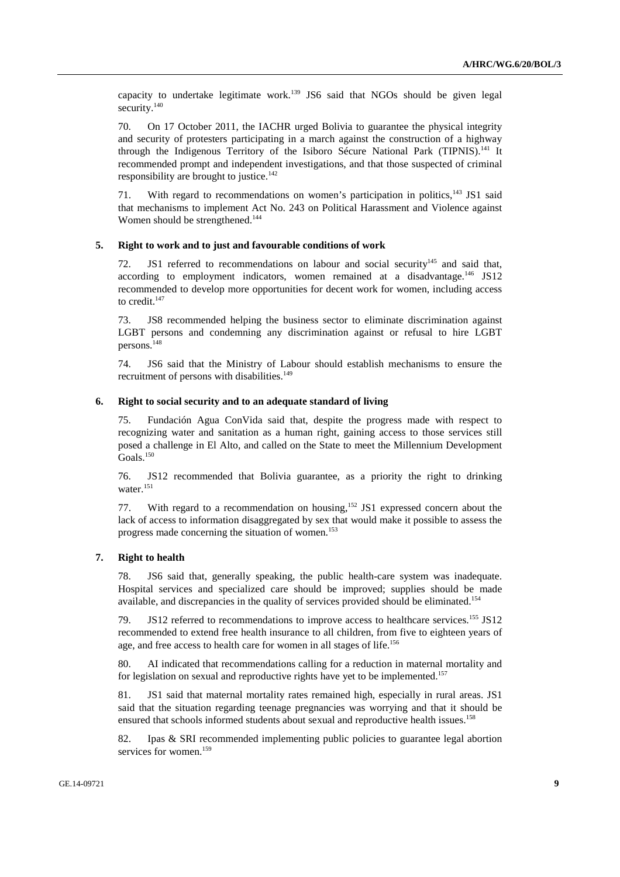capacity to undertake legitimate work.<sup>139</sup> JS6 said that NGOs should be given legal security.<sup>140</sup>

70. On 17 October 2011, the IACHR urged Bolivia to guarantee the physical integrity and security of protesters participating in a march against the construction of a highway through the Indigenous Territory of the Isiboro Sécure National Park (TIPNIS).<sup>141</sup> It recommended prompt and independent investigations, and that those suspected of criminal responsibility are brought to justice.<sup>142</sup>

71. With regard to recommendations on women's participation in politics,<sup>143</sup> JS1 said that mechanisms to implement Act No. 243 on Political Harassment and Violence against Women should be strengthened.<sup>144</sup>

#### **5. Right to work and to just and favourable conditions of work**

72. JS1 referred to recommendations on labour and social security<sup>145</sup> and said that, according to employment indicators, women remained at a disadvantage.<sup>146</sup> JS12 recommended to develop more opportunities for decent work for women, including access to credit. $147$ 

73. JS8 recommended helping the business sector to eliminate discrimination against LGBT persons and condemning any discrimination against or refusal to hire LGBT persons.148

74. JS6 said that the Ministry of Labour should establish mechanisms to ensure the recruitment of persons with disabilities.<sup>149</sup>

#### **6. Right to social security and to an adequate standard of living**

75. Fundación Agua ConVida said that, despite the progress made with respect to recognizing water and sanitation as a human right, gaining access to those services still posed a challenge in El Alto, and called on the State to meet the Millennium Development Goals.150

76. JS12 recommended that Bolivia guarantee, as a priority the right to drinking water.<sup>151</sup>

77. With regard to a recommendation on housing,<sup>152</sup> JS1 expressed concern about the lack of access to information disaggregated by sex that would make it possible to assess the progress made concerning the situation of women.153

#### **7. Right to health**

78. JS6 said that, generally speaking, the public health-care system was inadequate. Hospital services and specialized care should be improved; supplies should be made available, and discrepancies in the quality of services provided should be eliminated.<sup>154</sup>

79. JS12 referred to recommendations to improve access to healthcare services.<sup>155</sup> JS12 recommended to extend free health insurance to all children, from five to eighteen years of age, and free access to health care for women in all stages of life.156

80. AI indicated that recommendations calling for a reduction in maternal mortality and for legislation on sexual and reproductive rights have yet to be implemented.<sup>157</sup>

81. JS1 said that maternal mortality rates remained high, especially in rural areas. JS1 said that the situation regarding teenage pregnancies was worrying and that it should be ensured that schools informed students about sexual and reproductive health issues.<sup>158</sup>

82. Ipas & SRI recommended implementing public policies to guarantee legal abortion services for women.<sup>159</sup>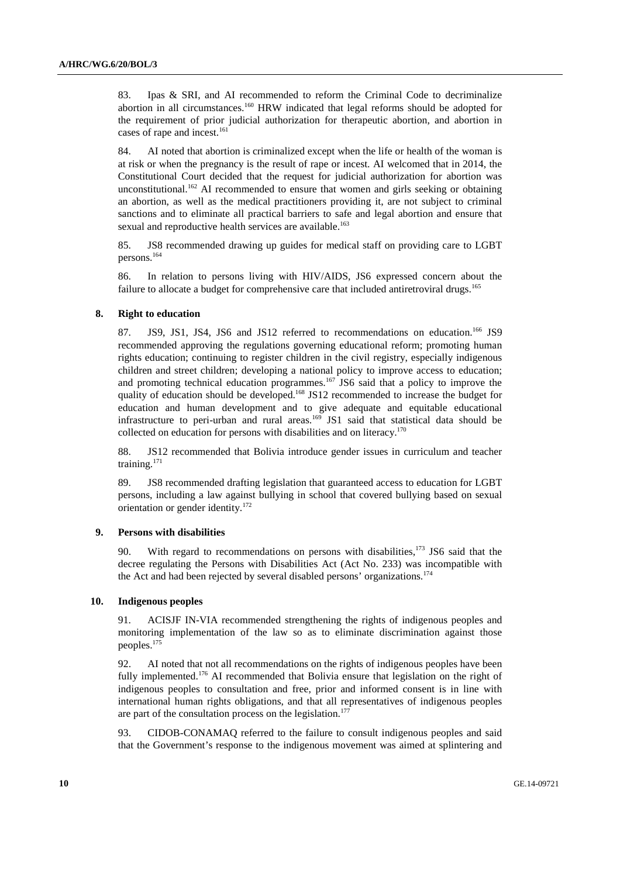83. Ipas & SRI, and AI recommended to reform the Criminal Code to decriminalize abortion in all circumstances.<sup>160</sup> HRW indicated that legal reforms should be adopted for the requirement of prior judicial authorization for therapeutic abortion, and abortion in cases of rape and incest.<sup>161</sup>

84. AI noted that abortion is criminalized except when the life or health of the woman is at risk or when the pregnancy is the result of rape or incest. AI welcomed that in 2014, the Constitutional Court decided that the request for judicial authorization for abortion was unconstitutional.<sup>162</sup> AI recommended to ensure that women and girls seeking or obtaining an abortion, as well as the medical practitioners providing it, are not subject to criminal sanctions and to eliminate all practical barriers to safe and legal abortion and ensure that sexual and reproductive health services are available.<sup>163</sup>

85. JS8 recommended drawing up guides for medical staff on providing care to LGBT persons.164

86. In relation to persons living with HIV/AIDS, JS6 expressed concern about the failure to allocate a budget for comprehensive care that included antiretroviral drugs.<sup>165</sup>

## **8. Right to education**

87. JS9, JS1, JS4, JS6 and JS12 referred to recommendations on education.<sup>166</sup> JS9 recommended approving the regulations governing educational reform; promoting human rights education; continuing to register children in the civil registry, especially indigenous children and street children; developing a national policy to improve access to education; and promoting technical education programmes.<sup>167</sup> JS6 said that a policy to improve the quality of education should be developed.<sup>168</sup> JS12 recommended to increase the budget for education and human development and to give adequate and equitable educational infrastructure to peri-urban and rural areas.<sup>169</sup> JS1 said that statistical data should be collected on education for persons with disabilities and on literacy.<sup>170</sup>

88. JS12 recommended that Bolivia introduce gender issues in curriculum and teacher training.171

89. JS8 recommended drafting legislation that guaranteed access to education for LGBT persons, including a law against bullying in school that covered bullying based on sexual orientation or gender identity.172

### **9. Persons with disabilities**

90. With regard to recommendations on persons with disabilities,<sup>173</sup> JS6 said that the decree regulating the Persons with Disabilities Act (Act No. 233) was incompatible with the Act and had been rejected by several disabled persons' organizations.<sup>174</sup>

#### **10. Indigenous peoples**

91. ACISJF IN-VIA recommended strengthening the rights of indigenous peoples and monitoring implementation of the law so as to eliminate discrimination against those peoples.175

92. AI noted that not all recommendations on the rights of indigenous peoples have been fully implemented.<sup>176</sup> AI recommended that Bolivia ensure that legislation on the right of indigenous peoples to consultation and free, prior and informed consent is in line with international human rights obligations, and that all representatives of indigenous peoples are part of the consultation process on the legislation.<sup>177</sup>

93. CIDOB-CONAMAQ referred to the failure to consult indigenous peoples and said that the Government's response to the indigenous movement was aimed at splintering and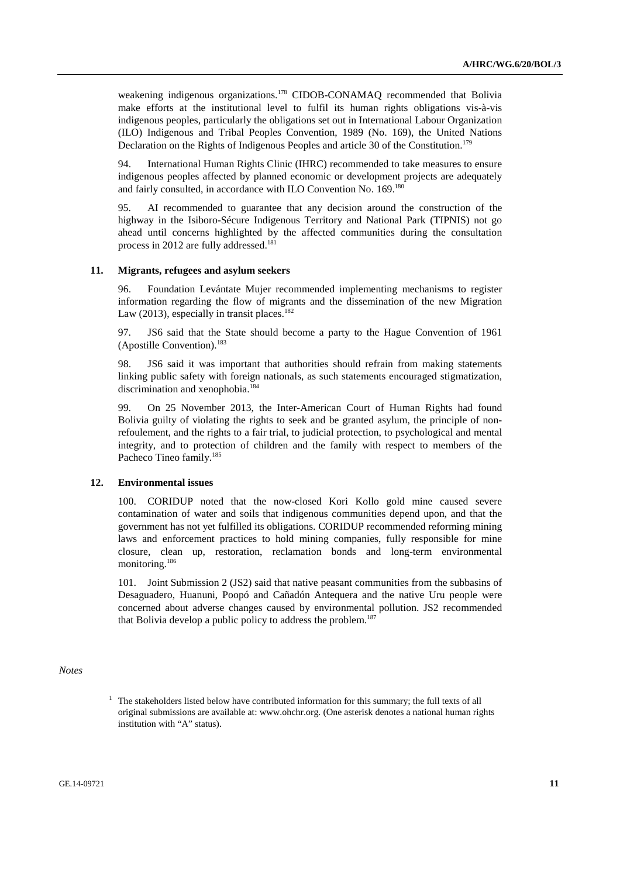weakening indigenous organizations.<sup>178</sup> CIDOB-CONAMAQ recommended that Bolivia make efforts at the institutional level to fulfil its human rights obligations vis-à-vis indigenous peoples, particularly the obligations set out in International Labour Organization (ILO) Indigenous and Tribal Peoples Convention, 1989 (No. 169), the United Nations Declaration on the Rights of Indigenous Peoples and article 30 of the Constitution.<sup>179</sup>

94. International Human Rights Clinic (IHRC) recommended to take measures to ensure indigenous peoples affected by planned economic or development projects are adequately and fairly consulted, in accordance with ILO Convention No. 169.180

95. AI recommended to guarantee that any decision around the construction of the highway in the Isiboro-Sécure Indigenous Territory and National Park (TIPNIS) not go ahead until concerns highlighted by the affected communities during the consultation process in 2012 are fully addressed.<sup>181</sup>

#### **11. Migrants, refugees and asylum seekers**

96. Foundation Levántate Mujer recommended implementing mechanisms to register information regarding the flow of migrants and the dissemination of the new Migration Law (2013), especially in transit places.<sup>182</sup>

97. JS6 said that the State should become a party to the Hague Convention of 1961  $(A$ postille Convention).<sup>183</sup>

98. JS6 said it was important that authorities should refrain from making statements linking public safety with foreign nationals, as such statements encouraged stigmatization, discrimination and xenophobia.<sup>184</sup>

99. On 25 November 2013, the Inter-American Court of Human Rights had found Bolivia guilty of violating the rights to seek and be granted asylum, the principle of nonrefoulement, and the rights to a fair trial, to judicial protection, to psychological and mental integrity, and to protection of children and the family with respect to members of the Pacheco Tineo family.<sup>185</sup>

#### **12. Environmental issues**

100. CORIDUP noted that the now-closed Kori Kollo gold mine caused severe contamination of water and soils that indigenous communities depend upon, and that the government has not yet fulfilled its obligations. CORIDUP recommended reforming mining laws and enforcement practices to hold mining companies, fully responsible for mine closure, clean up, restoration, reclamation bonds and long-term environmental monitoring.<sup>186</sup>

101. Joint Submission 2 (JS2) said that native peasant communities from the subbasins of Desaguadero, Huanuni, Poopó and Cañadón Antequera and the native Uru people were concerned about adverse changes caused by environmental pollution. JS2 recommended that Bolivia develop a public policy to address the problem.<sup>187</sup>

## *Notes*

<sup>&</sup>lt;sup>1</sup> The stakeholders listed below have contributed information for this summary; the full texts of all original submissions are available at: www.ohchr.org. (One asterisk denotes a national human rights institution with "A" status).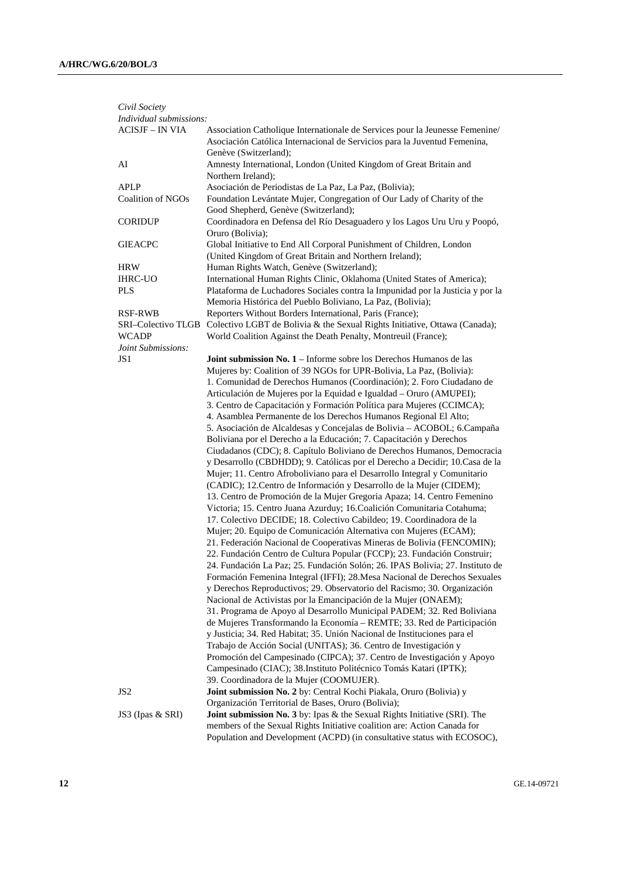| Civil Society            |                                                                                                                                                           |
|--------------------------|-----------------------------------------------------------------------------------------------------------------------------------------------------------|
| Individual submissions:  |                                                                                                                                                           |
| <b>ACISJF - IN VIA</b>   | Association Catholique Internationale de Services pour la Jeunesse Femenine/<br>Asociación Católica Internacional de Servicios para la Juventud Femenina, |
| AI                       | Genève (Switzerland);<br>Amnesty International, London (United Kingdom of Great Britain and<br>Northern Ireland);                                         |
| <b>APLP</b>              | Asociación de Periodistas de La Paz, La Paz, (Bolivia);                                                                                                   |
| <b>Coalition of NGOs</b> | Foundation Levántate Mujer, Congregation of Our Lady of Charity of the<br>Good Shepherd, Genève (Switzerland);                                            |
| <b>CORIDUP</b>           | Coordinadora en Defensa del Río Desaguadero y los Lagos Uru Uru y Poopó,<br>Oruro (Bolivia);                                                              |
| <b>GIEACPC</b>           | Global Initiative to End All Corporal Punishment of Children, London<br>(United Kingdom of Great Britain and Northern Ireland);                           |
| <b>HRW</b>               | Human Rights Watch, Genève (Switzerland);                                                                                                                 |
| <b>IHRC-UO</b>           | International Human Rights Clinic, Oklahoma (United States of America);                                                                                   |
| <b>PLS</b>               | Plataforma de Luchadores Sociales contra la Impunidad por la Justicia y por la<br>Memoria Histórica del Pueblo Boliviano, La Paz, (Bolivia);              |
| <b>RSF-RWB</b>           | Reporters Without Borders International, Paris (France);                                                                                                  |
| SRI–Colectivo TLGB       | Colectivo LGBT de Bolivia & the Sexual Rights Initiative, Ottawa (Canada);                                                                                |
| <b>WCADP</b>             | World Coalition Against the Death Penalty, Montreuil (France);                                                                                            |
| Joint Submissions:       |                                                                                                                                                           |
| JS <sub>1</sub>          | Joint submission No. 1 - Informe sobre los Derechos Humanos de las                                                                                        |
|                          | Mujeres by: Coalition of 39 NGOs for UPR-Bolivia, La Paz, (Bolivia):                                                                                      |
|                          | 1. Comunidad de Derechos Humanos (Coordinación); 2. Foro Ciudadano de                                                                                     |
|                          | Articulación de Mujeres por la Equidad e Igualdad - Oruro (AMUPEI);                                                                                       |
|                          | 3. Centro de Capacitación y Formación Política para Mujeres (CCIMCA);                                                                                     |
|                          | 4. Asamblea Permanente de los Derechos Humanos Regional El Alto;                                                                                          |
|                          | 5. Asociación de Alcaldesas y Concejalas de Bolivia - ACOBOL; 6. Campaña                                                                                  |
|                          | Boliviana por el Derecho a la Educación; 7. Capacitación y Derechos                                                                                       |
|                          | Ciudadanos (CDC); 8. Capítulo Boliviano de Derechos Humanos, Democracia                                                                                   |
|                          | y Desarrollo (CBDHDD); 9. Católicas por el Derecho a Decidir; 10. Casa de la                                                                              |
|                          | Mujer; 11. Centro Afroboliviano para el Desarrollo Integral y Comunitario                                                                                 |
|                          | (CADIC); 12. Centro de Información y Desarrollo de la Mujer (CIDEM);                                                                                      |
|                          | 13. Centro de Promoción de la Mujer Gregoria Apaza; 14. Centro Femenino                                                                                   |
|                          | Victoria; 15. Centro Juana Azurduy; 16. Coalición Comunitaria Cotahuma;                                                                                   |
|                          | 17. Colectivo DECIDE; 18. Colectivo Cabildeo; 19. Coordinadora de la                                                                                      |
|                          | Mujer; 20. Equipo de Comunicación Alternativa con Mujeres (ECAM);                                                                                         |
|                          | 21. Federación Nacional de Cooperativas Mineras de Bolivia (FENCOMIN);                                                                                    |
|                          | 22. Fundación Centro de Cultura Popular (FCCP); 23. Fundación Construir;<br>24. Fundación La Paz; 25. Fundación Solón; 26. IPAS Bolivia; 27. Instituto de |
|                          | Formación Femenina Integral (IFFI); 28. Mesa Nacional de Derechos Sexuales                                                                                |
|                          | y Derechos Reproductivos; 29. Observatorio del Racismo; 30. Organización                                                                                  |
|                          | Nacional de Activistas por la Emancipación de la Mujer (ONAEM);                                                                                           |
|                          | 31. Programa de Apoyo al Desarrollo Municipal PADEM; 32. Red Boliviana                                                                                    |
|                          | de Mujeres Transformando la Economía - REMTE; 33. Red de Participación                                                                                    |
|                          | y Justicia; 34. Red Habitat; 35. Unión Nacional de Instituciones para el                                                                                  |
|                          | Trabajo de Acción Social (UNITAS); 36. Centro de Investigación y                                                                                          |
|                          | Promoción del Campesinado (CIPCA); 37. Centro de Investigación y Apoyo                                                                                    |
|                          | Campesinado (CIAC); 38. Instituto Politécnico Tomás Katari (IPTK);                                                                                        |
|                          | 39. Coordinadora de la Mujer (COOMUJER).                                                                                                                  |
| JS <sub>2</sub>          | Joint submission No. 2 by: Central Kochi Piakala, Oruro (Bolivia) y                                                                                       |
|                          | Organización Territorial de Bases, Oruro (Bolivia);                                                                                                       |
| JS3 (Ipas & SRI)         | Joint submission No. 3 by: Ipas & the Sexual Rights Initiative (SRI). The                                                                                 |
|                          | members of the Sexual Rights Initiative coalition are: Action Canada for                                                                                  |
|                          | Population and Development (ACPD) (in consultative status with ECOSOC),                                                                                   |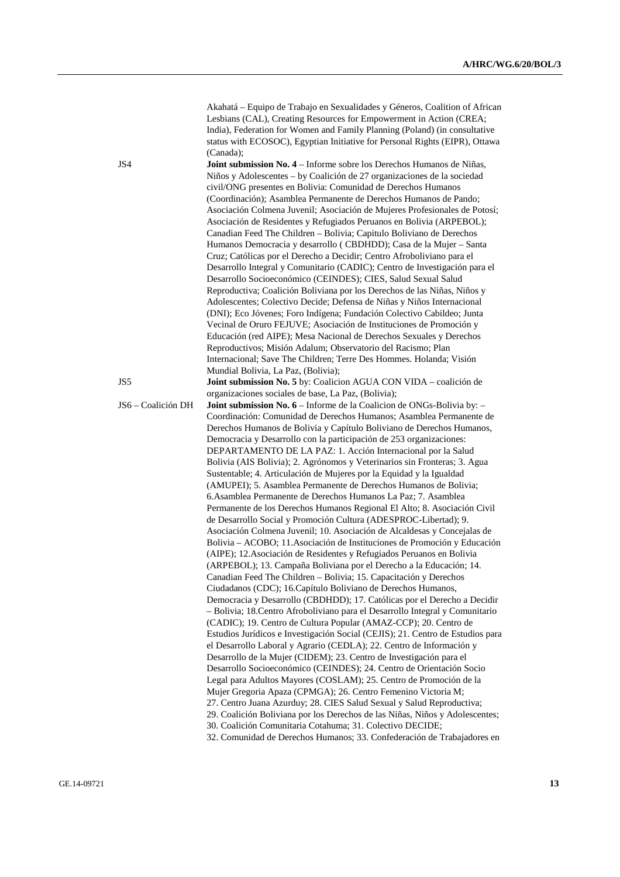Akahatá – Equipo de Trabajo en Sexualidades y Géneros, Coalition of African Lesbians (CAL), Creating Resources for Empowerment in Action (CREA; India), Federation for Women and Family Planning (Poland) (in consultative status with ECOSOC), Egyptian Initiative for Personal Rights (EIPR), Ottawa (Canada);

JS4 **Joint submission No. 4** – Informe sobre los Derechos Humanos de Niñas, Niños y Adolescentes – by Coalición de 27 organizaciones de la sociedad civil/ONG presentes en Bolivia: Comunidad de Derechos Humanos (Coordinación); Asamblea Permanente de Derechos Humanos de Pando; Asociación Colmena Juvenil; Asociación de Mujeres Profesionales de Potosí; Asociación de Residentes y Refugiados Peruanos en Bolivia (ARPEBOL); Canadian Feed The Children – Bolivia; Capitulo Boliviano de Derechos Humanos Democracia y desarrollo ( CBDHDD); Casa de la Mujer – Santa Cruz; Católicas por el Derecho a Decidir; Centro Afroboliviano para el Desarrollo Integral y Comunitario (CADIC); Centro de Investigación para el Desarrollo Socioeconómico (CEINDES); CIES, Salud Sexual Salud Reproductiva; Coalición Boliviana por los Derechos de las Niñas, Niños y Adolescentes; Colectivo Decide; Defensa de Niñas y Niños Internacional (DNI); Eco Jóvenes; Foro Indígena; Fundación Colectivo Cabildeo; Junta Vecinal de Oruro FEJUVE; Asociación de Instituciones de Promoción y Educación (red AIPE); Mesa Nacional de Derechos Sexuales y Derechos Reproductivos; Misión Adalum; Observatorio del Racismo; Plan Internacional; Save The Children; Terre Des Hommes. Holanda; Visión Mundial Bolivia, La Paz, (Bolivia);

JS5 **Joint submission No. 5** by: Coalicion AGUA CON VIDA – coalición de organizaciones sociales de base, La Paz, (Bolivia);

JS6 – Coalición DH **Joint submission No. 6** – Informe de la Coalicion de ONGs-Bolivia by: – Coordinación: Comunidad de Derechos Humanos; Asamblea Permanente de Derechos Humanos de Bolivia y Capítulo Boliviano de Derechos Humanos, Democracia y Desarrollo con la participación de 253 organizaciones: DEPARTAMENTO DE LA PAZ: 1. Acción Internacional por la Salud Bolivia (AIS Bolivia); 2. Agrónomos y Veterinarios sin Fronteras; 3. Agua Sustentable; 4. Articulación de Mujeres por la Equidad y la Igualdad (AMUPEI); 5. Asamblea Permanente de Derechos Humanos de Bolivia; 6.Asamblea Permanente de Derechos Humanos La Paz; 7. Asamblea Permanente de los Derechos Humanos Regional El Alto; 8. Asociación Civil de Desarrollo Social y Promoción Cultura (ADESPROC-Libertad); 9. Asociación Colmena Juvenil; 10. Asociación de Alcaldesas y Concejalas de Bolivia – ACOBO; 11.Asociación de Instituciones de Promoción y Educación (AIPE); 12.Asociación de Residentes y Refugiados Peruanos en Bolivia (ARPEBOL); 13. Campaña Boliviana por el Derecho a la Educación; 14. Canadian Feed The Children – Bolivia; 15. Capacitación y Derechos Ciudadanos (CDC); 16.Capítulo Boliviano de Derechos Humanos, Democracia y Desarrollo (CBDHDD); 17. Católicas por el Derecho a Decidir – Bolivia; 18.Centro Afroboliviano para el Desarrollo Integral y Comunitario (CADIC); 19. Centro de Cultura Popular (AMAZ-CCP); 20. Centro de Estudios Jurídicos e Investigación Social (CEJIS); 21. Centro de Estudios para el Desarrollo Laboral y Agrario (CEDLA); 22. Centro de Información y Desarrollo de la Mujer (CIDEM); 23. Centro de Investigación para el Desarrollo Socioeconómico (CEINDES); 24. Centro de Orientación Socio Legal para Adultos Mayores (COSLAM); 25. Centro de Promoción de la Mujer Gregoria Apaza (CPMGA); 26. Centro Femenino Victoria M; 27. Centro Juana Azurduy; 28. CIES Salud Sexual y Salud Reproductiva; 29. Coalición Boliviana por los Derechos de las Niñas, Niños y Adolescentes; 30. Coalición Comunitaria Cotahuma; 31. Colectivo DECIDE; 32. Comunidad de Derechos Humanos; 33. Confederación de Trabajadores en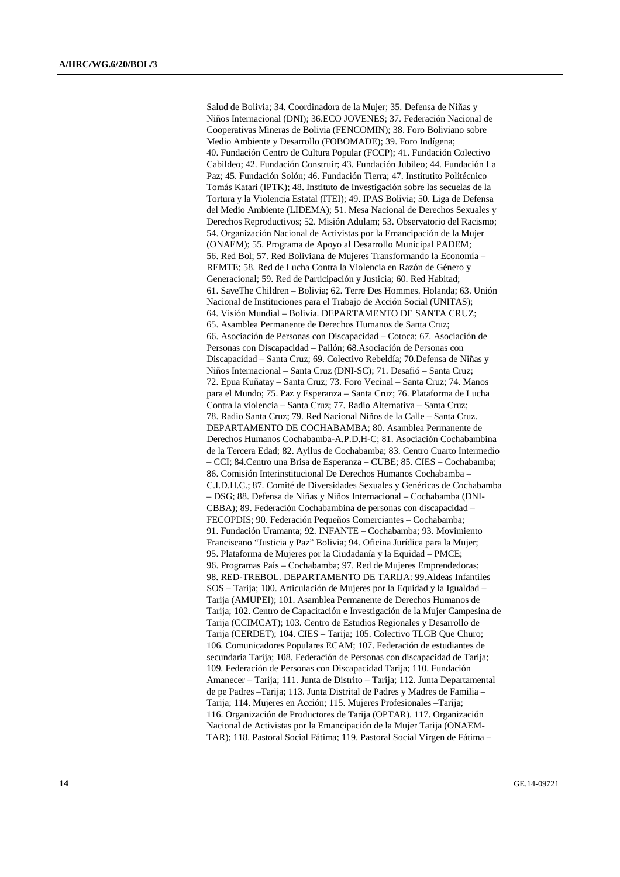Salud de Bolivia; 34. Coordinadora de la Mujer; 35. Defensa de Niñas y Niños Internacional (DNI); 36.ECO JOVENES; 37. Federación Nacional de Cooperativas Mineras de Bolivia (FENCOMIN); 38. Foro Boliviano sobre Medio Ambiente y Desarrollo (FOBOMADE); 39. Foro Indígena; 40. Fundación Centro de Cultura Popular (FCCP); 41. Fundación Colectivo Cabildeo; 42. Fundación Construir; 43. Fundación Jubileo; 44. Fundación La Paz; 45. Fundación Solón; 46. Fundación Tierra; 47. Institutito Politécnico Tomás Katari (IPTK); 48. Instituto de Investigación sobre las secuelas de la Tortura y la Violencia Estatal (ITEI); 49. IPAS Bolivia; 50. Liga de Defensa del Medio Ambiente (LIDEMA); 51. Mesa Nacional de Derechos Sexuales y Derechos Reproductivos; 52. Misión Adulam; 53. Observatorio del Racismo; 54. Organización Nacional de Activistas por la Emancipación de la Mujer (ONAEM); 55. Programa de Apoyo al Desarrollo Municipal PADEM; 56. Red Bol; 57. Red Boliviana de Mujeres Transformando la Economía – REMTE; 58. Red de Lucha Contra la Violencia en Razón de Género y Generacional; 59. Red de Participación y Justicia; 60. Red Habitad; 61. SaveThe Children – Bolivia; 62. Terre Des Hommes. Holanda; 63. Unión Nacional de Instituciones para el Trabajo de Acción Social (UNITAS); 64. Visión Mundial – Bolivia. DEPARTAMENTO DE SANTA CRUZ; 65. Asamblea Permanente de Derechos Humanos de Santa Cruz; 66. Asociación de Personas con Discapacidad – Cotoca; 67. Asociación de Personas con Discapacidad – Pailón; 68.Asociación de Personas con Discapacidad – Santa Cruz; 69. Colectivo Rebeldía; 70.Defensa de Niñas y Niños Internacional – Santa Cruz (DNI-SC); 71. Desafió – Santa Cruz; 72. Epua Kuñatay – Santa Cruz; 73. Foro Vecinal – Santa Cruz; 74. Manos para el Mundo; 75. Paz y Esperanza – Santa Cruz; 76. Plataforma de Lucha Contra la violencia – Santa Cruz; 77. Radio Alternativa – Santa Cruz; 78. Radio Santa Cruz; 79. Red Nacional Niños de la Calle – Santa Cruz. DEPARTAMENTO DE COCHABAMBA; 80. Asamblea Permanente de Derechos Humanos Cochabamba-A.P.D.H-C; 81. Asociación Cochabambina de la Tercera Edad; 82. Ayllus de Cochabamba; 83. Centro Cuarto Intermedio – CCI; 84.Centro una Brisa de Esperanza – CUBE; 85. CIES – Cochabamba; 86. Comisión Interinstitucional De Derechos Humanos Cochabamba – C.I.D.H.C.; 87. Comité de Diversidades Sexuales y Genéricas de Cochabamba – DSG; 88. Defensa de Niñas y Niños Internacional – Cochabamba (DNI-CBBA); 89. Federación Cochabambina de personas con discapacidad – FECOPDIS; 90. Federación Pequeños Comerciantes – Cochabamba; 91. Fundación Uramanta; 92. INFANTE – Cochabamba; 93. Movimiento Franciscano "Justicia y Paz" Bolivia; 94. Oficina Jurídica para la Mujer; 95. Plataforma de Mujeres por la Ciudadanía y la Equidad – PMCE; 96. Programas País – Cochabamba; 97. Red de Mujeres Emprendedoras; 98. RED-TREBOL. DEPARTAMENTO DE TARIJA: 99.Aldeas Infantiles SOS – Tarija; 100. Articulación de Mujeres por la Equidad y la Igualdad – Tarija (AMUPEI); 101. Asamblea Permanente de Derechos Humanos de Tarija; 102. Centro de Capacitación e Investigación de la Mujer Campesina de Tarija (CCIMCAT); 103. Centro de Estudios Regionales y Desarrollo de Tarija (CERDET); 104. CIES – Tarija; 105. Colectivo TLGB Que Churo; 106. Comunicadores Populares ECAM; 107. Federación de estudiantes de secundaria Tarija; 108. Federación de Personas con discapacidad de Tarija; 109. Federación de Personas con Discapacidad Tarija; 110. Fundación Amanecer – Tarija; 111. Junta de Distrito – Tarija; 112. Junta Departamental de pe Padres –Tarija; 113. Junta Distrital de Padres y Madres de Familia – Tarija; 114. Mujeres en Acción; 115. Mujeres Profesionales –Tarija; 116. Organización de Productores de Tarija (OPTAR). 117. Organización Nacional de Activistas por la Emancipación de la Mujer Tarija (ONAEM-TAR); 118. Pastoral Social Fátima; 119. Pastoral Social Virgen de Fátima –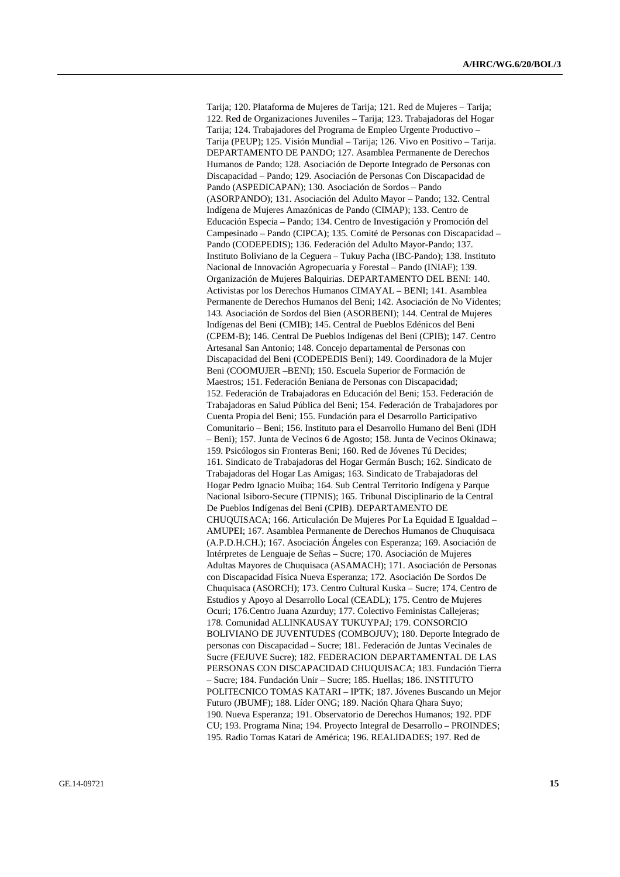Tarija; 120. Plataforma de Mujeres de Tarija; 121. Red de Mujeres – Tarija; 122. Red de Organizaciones Juveniles – Tarija; 123. Trabajadoras del Hogar Tarija; 124. Trabajadores del Programa de Empleo Urgente Productivo – Tarija (PEUP); 125. Visión Mundial – Tarija; 126. Vivo en Positivo – Tarija. DEPARTAMENTO DE PANDO; 127. Asamblea Permanente de Derechos Humanos de Pando; 128. Asociación de Deporte Integrado de Personas con Discapacidad – Pando; 129. Asociación de Personas Con Discapacidad de Pando (ASPEDICAPAN); 130. Asociación de Sordos – Pando (ASORPANDO); 131. Asociación del Adulto Mayor – Pando; 132. Central Indígena de Mujeres Amazónicas de Pando (CIMAP); 133. Centro de Educación Especia – Pando; 134. Centro de Investigación y Promoción del Campesinado – Pando (CIPCA); 135. Comité de Personas con Discapacidad – Pando (CODEPEDIS); 136. Federación del Adulto Mayor-Pando; 137. Instituto Boliviano de la Ceguera – Tukuy Pacha (IBC-Pando); 138. Instituto Nacional de Innovación Agropecuaria y Forestal – Pando (INIAF); 139. Organización de Mujeres Balquirias. DEPARTAMENTO DEL BENI: 140. Activistas por los Derechos Humanos CIMAYAL – BENI; 141. Asamblea Permanente de Derechos Humanos del Beni; 142. Asociación de No Videntes; 143. Asociación de Sordos del Bien (ASORBENI); 144. Central de Mujeres Indígenas del Beni (CMIB); 145. Central de Pueblos Edénicos del Beni (CPEM-B); 146. Central De Pueblos Indígenas del Beni (CPIB); 147. Centro Artesanal San Antonio; 148. Concejo departamental de Personas con Discapacidad del Beni (CODEPEDIS Beni); 149. Coordinadora de la Mujer Beni (COOMUJER –BENI); 150. Escuela Superior de Formación de Maestros; 151. Federación Beniana de Personas con Discapacidad; 152. Federación de Trabajadoras en Educación del Beni; 153. Federación de Trabajadoras en Salud Pública del Beni; 154. Federación de Trabajadores por Cuenta Propia del Beni; 155. Fundación para el Desarrollo Participativo Comunitario – Beni; 156. Instituto para el Desarrollo Humano del Beni (IDH – Beni); 157. Junta de Vecinos 6 de Agosto; 158. Junta de Vecinos Okinawa; 159. Psicólogos sin Fronteras Beni; 160. Red de Jóvenes Tú Decides; 161. Sindicato de Trabajadoras del Hogar Germán Busch; 162. Sindicato de Trabajadoras del Hogar Las Amigas; 163. Sindicato de Trabajadoras del Hogar Pedro Ignacio Muiba; 164. Sub Central Territorio Indígena y Parque Nacional Isiboro-Secure (TIPNIS); 165. Tribunal Disciplinario de la Central De Pueblos Indígenas del Beni (CPIB). DEPARTAMENTO DE CHUQUISACA; 166. Articulación De Mujeres Por La Equidad E Igualdad – AMUPEI; 167. Asamblea Permanente de Derechos Humanos de Chuquisaca (A.P.D.H.CH.); 167. Asociación Ángeles con Esperanza; 169. Asociación de Intérpretes de Lenguaje de Señas – Sucre; 170. Asociación de Mujeres Adultas Mayores de Chuquisaca (ASAMACH); 171. Asociación de Personas con Discapacidad Física Nueva Esperanza; 172. Asociación De Sordos De Chuquisaca (ASORCH); 173. Centro Cultural Kuska – Sucre; 174. Centro de Estudios y Apoyo al Desarrollo Local (CEADL); 175. Centro de Mujeres Ocuri; 176.Centro Juana Azurduy; 177. Colectivo Feministas Callejeras; 178. Comunidad ALLINKAUSAY TUKUYPAJ; 179. CONSORCIO BOLIVIANO DE JUVENTUDES (COMBOJUV); 180. Deporte Integrado de personas con Discapacidad – Sucre; 181. Federación de Juntas Vecinales de Sucre (FEJUVE Sucre); 182. FEDERACION DEPARTAMENTAL DE LAS PERSONAS CON DISCAPACIDAD CHUQUISACA; 183. Fundación Tierra – Sucre; 184. Fundación Unir – Sucre; 185. Huellas; 186. INSTITUTO POLITECNICO TOMAS KATARI – IPTK; 187. Jóvenes Buscando un Mejor Futuro (JBUMF); 188. Líder ONG; 189. Nación Qhara Qhara Suyo; 190. Nueva Esperanza; 191. Observatorio de Derechos Humanos; 192. PDF CU; 193. Programa Nina; 194. Proyecto Integral de Desarrollo – PROINDES; 195. Radio Tomas Katari de América; 196. REALIDADES; 197. Red de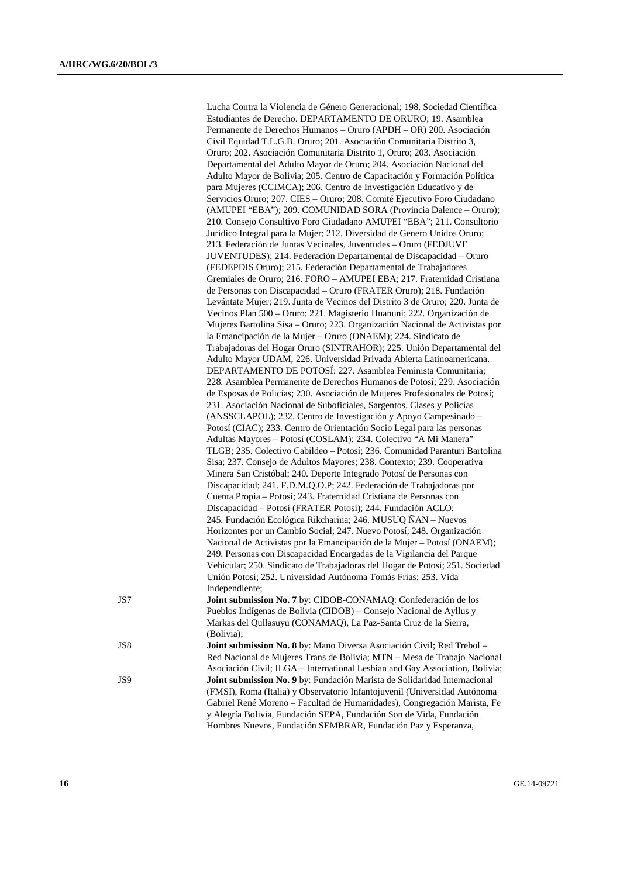|     | Lucha Contra la Violencia de Género Generacional; 198. Sociedad Científica<br>Estudiantes de Derecho. DEPARTAMENTO DE ORURO; 19. Asamblea              |
|-----|--------------------------------------------------------------------------------------------------------------------------------------------------------|
|     | Permanente de Derechos Humanos - Oruro (APDH - OR) 200. Asociación<br>Civil Equidad T.L.G.B. Oruro; 201. Asociación Comunitaria Distrito 3,            |
|     | Oruro; 202. Asociación Comunitaria Distrito 1, Oruro; 203. Asociación                                                                                  |
|     | Departamental del Adulto Mayor de Oruro; 204. Asociación Nacional del                                                                                  |
|     | Adulto Mayor de Bolivia; 205. Centro de Capacitación y Formación Política                                                                              |
|     | para Mujeres (CCIMCA); 206. Centro de Investigación Educativo y de                                                                                     |
|     | Servicios Oruro; 207. CIES - Oruro; 208. Comité Ejecutivo Foro Ciudadano                                                                               |
|     | (AMUPEI "EBA"); 209. COMUNIDAD SORA (Provincia Dalence - Oruro);                                                                                       |
|     | 210. Consejo Consultivo Foro Ciudadano AMUPEI "EBA"; 211. Consultorio                                                                                  |
|     | Jurídico Integral para la Mujer; 212. Diversidad de Genero Unidos Oruro;                                                                               |
|     | 213. Federación de Juntas Vecinales, Juventudes - Oruro (FEDJUVE                                                                                       |
|     | JUVENTUDES); 214. Federación Departamental de Discapacidad - Oruro                                                                                     |
|     | (FEDEPDIS Oruro); 215. Federación Departamental de Trabajadores<br>Gremiales de Oruro; 216. FORO - AMUPEI EBA; 217. Fraternidad Cristiana              |
|     | de Personas con Discapacidad - Oruro (FRATER Oruro); 218. Fundación                                                                                    |
|     | Levántate Mujer; 219. Junta de Vecinos del Distrito 3 de Oruro; 220. Junta de                                                                          |
|     | Vecinos Plan 500 – Oruro; 221. Magisterio Huanuni; 222. Organización de                                                                                |
|     | Mujeres Bartolina Sisa - Oruro; 223. Organización Nacional de Activistas por                                                                           |
|     | la Emancipación de la Mujer - Oruro (ONAEM); 224. Sindicato de                                                                                         |
|     | Trabajadoras del Hogar Oruro (SINTRAHOR); 225. Unión Departamental del                                                                                 |
|     | Adulto Mayor UDAM; 226. Universidad Privada Abierta Latinoamericana.                                                                                   |
|     | DEPARTAMENTO DE POTOSÍ: 227. Asamblea Feminista Comunitaria;                                                                                           |
|     | 228. Asamblea Permanente de Derechos Humanos de Potosí; 229. Asociación<br>de Esposas de Policías; 230. Asociación de Mujeres Profesionales de Potosí; |
|     | 231. Asociación Nacional de Suboficiales, Sargentos, Clases y Policías                                                                                 |
|     | (ANSSCLAPOL); 232. Centro de Investigación y Apoyo Campesinado -                                                                                       |
|     | Potosí (CIAC); 233. Centro de Orientación Socio Legal para las personas                                                                                |
|     | Adultas Mayores - Potosí (COSLAM); 234. Colectivo "A Mi Manera"                                                                                        |
|     | TLGB; 235. Colectivo Cabildeo - Potosí; 236. Comunidad Paranturi Bartolina                                                                             |
|     | Sisa; 237. Consejo de Adultos Mayores; 238. Contexto; 239. Cooperativa                                                                                 |
|     | Minera San Cristóbal; 240. Deporte Integrado Potosí de Personas con                                                                                    |
|     | Discapacidad; 241. F.D.M.Q.O.P; 242. Federación de Trabajadoras por                                                                                    |
|     | Cuenta Propia - Potosí; 243. Fraternidad Cristiana de Personas con                                                                                     |
|     | Discapacidad - Potosí (FRATER Potosí); 244. Fundación ACLO;<br>245. Fundación Ecológica Rikcharina; 246. MUSUQ ÑAN – Nuevos                            |
|     | Horizontes por un Cambio Social; 247. Nuevo Potosí; 248. Organización                                                                                  |
|     | Nacional de Activistas por la Emancipación de la Mujer - Potosí (ONAEM);                                                                               |
|     | 249. Personas con Discapacidad Encargadas de la Vigilancia del Parque                                                                                  |
|     | Vehicular; 250. Sindicato de Trabajadoras del Hogar de Potosí; 251. Sociedad                                                                           |
|     | Unión Potosí; 252. Universidad Autónoma Tomás Frías; 253. Vida                                                                                         |
|     | Independiente;                                                                                                                                         |
| JS7 | Joint submission No. 7 by: CIDOB-CONAMAQ: Confederación de los                                                                                         |
|     | Pueblos Indígenas de Bolivia (CIDOB) - Consejo Nacional de Ayllus y<br>Markas del Qullasuyu (CONAMAQ), La Paz-Santa Cruz de la Sierra,                 |
|     | (Bolivia);                                                                                                                                             |
| JS8 | Joint submission No. 8 by: Mano Diversa Asociación Civil; Red Trebol -                                                                                 |
|     | Red Nacional de Mujeres Trans de Bolivia; MTN - Mesa de Trabajo Nacional                                                                               |
|     | Asociación Civil; ILGA - International Lesbian and Gay Association, Bolivia;                                                                           |
| JS9 | Joint submission No. 9 by: Fundación Marista de Solidaridad Internacional                                                                              |
|     | (FMSI), Roma (Italia) y Observatorio Infantojuvenil (Universidad Autónoma                                                                              |
|     | Gabriel René Moreno - Facultad de Humanidades), Congregación Marista, Fe                                                                               |
|     | y Alegría Bolivia, Fundación SEPA, Fundación Son de Vida, Fundación                                                                                    |

Hombres Nuevos, Fundación SEMBRAR, Fundación Paz y Esperanza,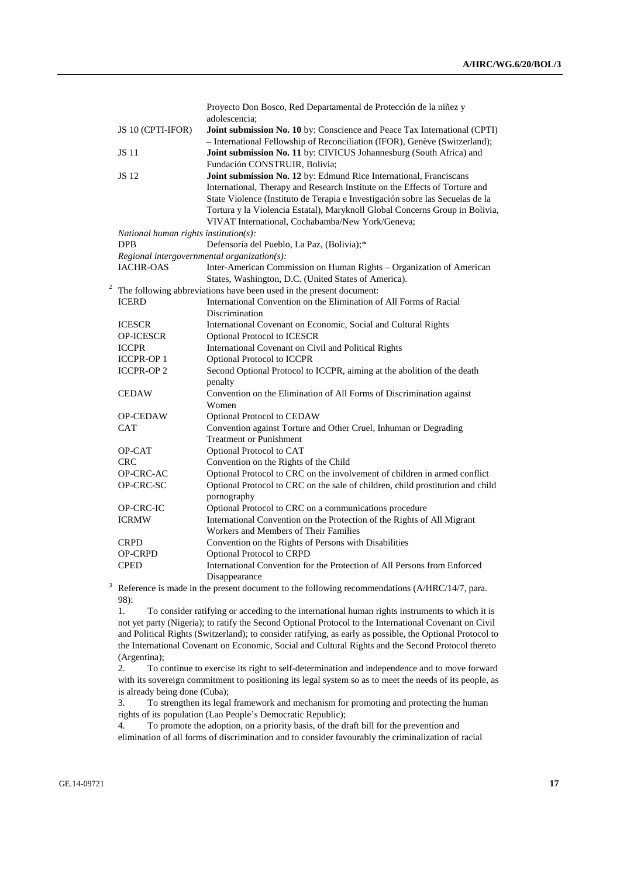|   |                                             | Proyecto Don Bosco, Red Departamental de Protección de la niñez y<br>adolescencia;                                                                      |
|---|---------------------------------------------|---------------------------------------------------------------------------------------------------------------------------------------------------------|
|   | JS 10 (CPTI-IFOR)                           | Joint submission No. 10 by: Conscience and Peace Tax International (CPTI)<br>- International Fellowship of Reconciliation (IFOR), Genève (Switzerland); |
|   | <b>JS</b> 11                                | Joint submission No. 11 by: CIVICUS Johannesburg (South Africa) and                                                                                     |
|   |                                             | Fundación CONSTRUIR, Bolivia;                                                                                                                           |
|   | JS 12                                       | Joint submission No. 12 by: Edmund Rice International, Franciscans                                                                                      |
|   |                                             | International, Therapy and Research Institute on the Effects of Torture and                                                                             |
|   |                                             | State Violence (Instituto de Terapia e Investigación sobre las Secuelas de la                                                                           |
|   |                                             | Tortura y la Violencia Estatal), Maryknoll Global Concerns Group in Bolivia,                                                                            |
|   |                                             | VIVAT International, Cochabamba/New York/Geneva;                                                                                                        |
|   | National human rights institution $(s)$ :   |                                                                                                                                                         |
|   | <b>DPB</b>                                  | Defensoría del Pueblo, La Paz, (Bolivia);*                                                                                                              |
|   | Regional intergovernmental organization(s): |                                                                                                                                                         |
|   | <b>IACHR-OAS</b>                            | Inter-American Commission on Human Rights - Organization of American                                                                                    |
|   |                                             | States, Washington, D.C. (United States of America).                                                                                                    |
|   |                                             | The following abbreviations have been used in the present document:                                                                                     |
|   | <b>ICERD</b>                                | International Convention on the Elimination of All Forms of Racial                                                                                      |
|   |                                             | Discrimination                                                                                                                                          |
|   | <b>ICESCR</b>                               | International Covenant on Economic, Social and Cultural Rights                                                                                          |
|   | <b>OP-ICESCR</b>                            | Optional Protocol to ICESCR                                                                                                                             |
|   | <b>ICCPR</b>                                | International Covenant on Civil and Political Rights                                                                                                    |
|   | <b>ICCPR-OP1</b>                            | Optional Protocol to ICCPR                                                                                                                              |
|   | <b>ICCPR-OP 2</b>                           | Second Optional Protocol to ICCPR, aiming at the abolition of the death<br>penalty                                                                      |
|   | <b>CEDAW</b>                                | Convention on the Elimination of All Forms of Discrimination against<br>Women                                                                           |
|   | <b>OP-CEDAW</b>                             | Optional Protocol to CEDAW                                                                                                                              |
|   | <b>CAT</b>                                  | Convention against Torture and Other Cruel, Inhuman or Degrading                                                                                        |
|   |                                             | <b>Treatment or Punishment</b>                                                                                                                          |
|   | OP-CAT                                      | Optional Protocol to CAT                                                                                                                                |
|   | <b>CRC</b>                                  | Convention on the Rights of the Child                                                                                                                   |
|   | OP-CRC-AC                                   | Optional Protocol to CRC on the involvement of children in armed conflict                                                                               |
|   | OP-CRC-SC                                   | Optional Protocol to CRC on the sale of children, child prostitution and child<br>pornography                                                           |
|   | OP-CRC-IC                                   | Optional Protocol to CRC on a communications procedure                                                                                                  |
|   | <b>ICRMW</b>                                | International Convention on the Protection of the Rights of All Migrant                                                                                 |
|   |                                             | Workers and Members of Their Families                                                                                                                   |
|   | <b>CRPD</b>                                 | Convention on the Rights of Persons with Disabilities                                                                                                   |
|   | <b>OP-CRPD</b>                              | <b>Optional Protocol to CRPD</b>                                                                                                                        |
|   | <b>CPED</b>                                 | International Convention for the Protection of All Persons from Enforced<br>Disappearance                                                               |
| 3 |                                             | Reference is made in the present document to the following recommendations (A/HRC/14/7, para.                                                           |

98):

 1. To consider ratifying or acceding to the international human rights instruments to which it is not yet party (Nigeria); to ratify the Second Optional Protocol to the International Covenant on Civil and Political Rights (Switzerland); to consider ratifying, as early as possible, the Optional Protocol to the International Covenant on Economic, Social and Cultural Rights and the Second Protocol thereto (Argentina);

 2. To continue to exercise its right to self-determination and independence and to move forward with its sovereign commitment to positioning its legal system so as to meet the needs of its people, as is already being done (Cuba);

 3. To strengthen its legal framework and mechanism for promoting and protecting the human rights of its population (Lao People's Democratic Republic);

 4. To promote the adoption, on a priority basis, of the draft bill for the prevention and elimination of all forms of discrimination and to consider favourably the criminalization of racial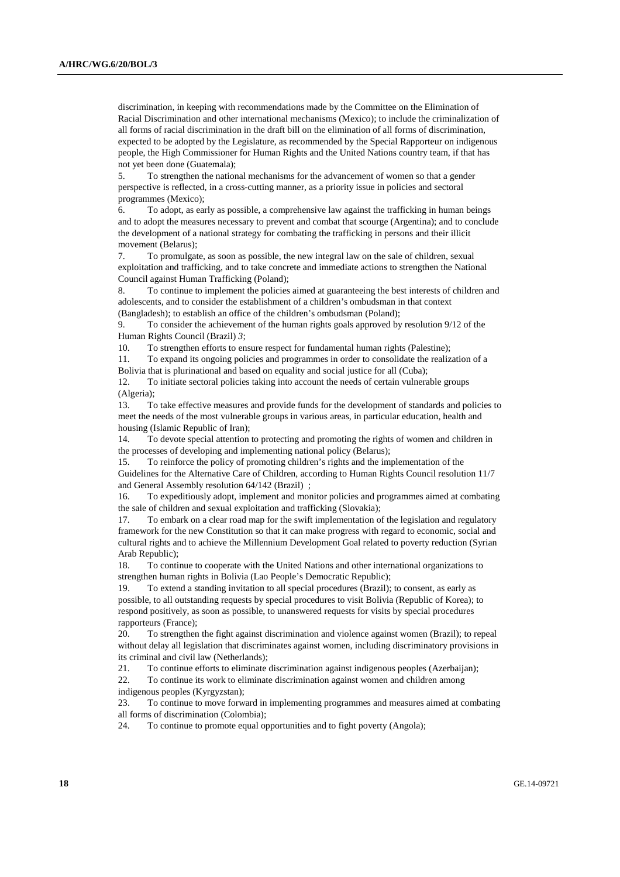discrimination, in keeping with recommendations made by the Committee on the Elimination of Racial Discrimination and other international mechanisms (Mexico); to include the criminalization of all forms of racial discrimination in the draft bill on the elimination of all forms of discrimination, expected to be adopted by the Legislature, as recommended by the Special Rapporteur on indigenous people, the High Commissioner for Human Rights and the United Nations country team, if that has not yet been done (Guatemala);

 5. To strengthen the national mechanisms for the advancement of women so that a gender perspective is reflected, in a cross-cutting manner, as a priority issue in policies and sectoral programmes (Mexico);

 6. To adopt, as early as possible, a comprehensive law against the trafficking in human beings and to adopt the measures necessary to prevent and combat that scourge (Argentina); and to conclude the development of a national strategy for combating the trafficking in persons and their illicit movement (Belarus);

 7. To promulgate, as soon as possible, the new integral law on the sale of children, sexual exploitation and trafficking, and to take concrete and immediate actions to strengthen the National Council against Human Trafficking (Poland);

 8. To continue to implement the policies aimed at guaranteeing the best interests of children and adolescents, and to consider the establishment of a children's ombudsman in that context (Bangladesh); to establish an office of the children's ombudsman (Poland);

 9. To consider the achievement of the human rights goals approved by resolution 9/12 of the Human Rights Council (Brazil) *3*;

10. To strengthen efforts to ensure respect for fundamental human rights (Palestine);

 11. To expand its ongoing policies and programmes in order to consolidate the realization of a Bolivia that is plurinational and based on equality and social justice for all (Cuba);

 12. To initiate sectoral policies taking into account the needs of certain vulnerable groups (Algeria);

 13. To take effective measures and provide funds for the development of standards and policies to meet the needs of the most vulnerable groups in various areas, in particular education, health and housing (Islamic Republic of Iran);

 14. To devote special attention to protecting and promoting the rights of women and children in the processes of developing and implementing national policy (Belarus);

 15. To reinforce the policy of promoting children's rights and the implementation of the Guidelines for the Alternative Care of Children, according to Human Rights Council resolution 11/7 and General Assembly resolution 64/142 (Brazil);

 16. To expeditiously adopt, implement and monitor policies and programmes aimed at combating the sale of children and sexual exploitation and trafficking (Slovakia);

 17. To embark on a clear road map for the swift implementation of the legislation and regulatory framework for the new Constitution so that it can make progress with regard to economic, social and cultural rights and to achieve the Millennium Development Goal related to poverty reduction (Syrian Arab Republic);

 18. To continue to cooperate with the United Nations and other international organizations to strengthen human rights in Bolivia (Lao People's Democratic Republic);

 19. To extend a standing invitation to all special procedures (Brazil); to consent, as early as possible, to all outstanding requests by special procedures to visit Bolivia (Republic of Korea); to respond positively, as soon as possible, to unanswered requests for visits by special procedures rapporteurs (France);

 20. To strengthen the fight against discrimination and violence against women (Brazil); to repeal without delay all legislation that discriminates against women, including discriminatory provisions in its criminal and civil law (Netherlands);

21. To continue efforts to eliminate discrimination against indigenous peoples (Azerbaijan);

 22. To continue its work to eliminate discrimination against women and children among indigenous peoples (Kyrgyzstan);

 23. To continue to move forward in implementing programmes and measures aimed at combating all forms of discrimination (Colombia);

24. To continue to promote equal opportunities and to fight poverty (Angola);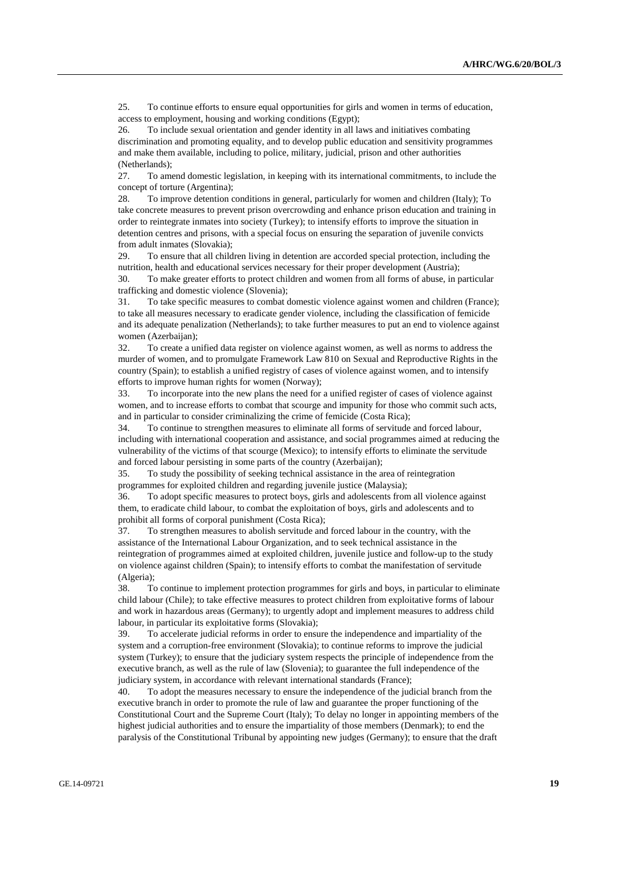25. To continue efforts to ensure equal opportunities for girls and women in terms of education, access to employment, housing and working conditions (Egypt);

 26. To include sexual orientation and gender identity in all laws and initiatives combating discrimination and promoting equality, and to develop public education and sensitivity programmes and make them available, including to police, military, judicial, prison and other authorities (Netherlands);

 27. To amend domestic legislation, in keeping with its international commitments, to include the concept of torture (Argentina);

 28. To improve detention conditions in general, particularly for women and children (Italy); To take concrete measures to prevent prison overcrowding and enhance prison education and training in order to reintegrate inmates into society (Turkey); to intensify efforts to improve the situation in detention centres and prisons, with a special focus on ensuring the separation of juvenile convicts from adult inmates (Slovakia);

 29. To ensure that all children living in detention are accorded special protection, including the nutrition, health and educational services necessary for their proper development (Austria);

 30. To make greater efforts to protect children and women from all forms of abuse, in particular trafficking and domestic violence (Slovenia);

 31. To take specific measures to combat domestic violence against women and children (France); to take all measures necessary to eradicate gender violence, including the classification of femicide and its adequate penalization (Netherlands); to take further measures to put an end to violence against women (Azerbaijan);

 32. To create a unified data register on violence against women, as well as norms to address the murder of women, and to promulgate Framework Law 810 on Sexual and Reproductive Rights in the country (Spain); to establish a unified registry of cases of violence against women, and to intensify efforts to improve human rights for women (Norway);

 33. To incorporate into the new plans the need for a unified register of cases of violence against women, and to increase efforts to combat that scourge and impunity for those who commit such acts, and in particular to consider criminalizing the crime of femicide (Costa Rica);

 34. To continue to strengthen measures to eliminate all forms of servitude and forced labour, including with international cooperation and assistance, and social programmes aimed at reducing the vulnerability of the victims of that scourge (Mexico); to intensify efforts to eliminate the servitude and forced labour persisting in some parts of the country (Azerbaijan);

 35. To study the possibility of seeking technical assistance in the area of reintegration programmes for exploited children and regarding juvenile justice (Malaysia);

 36. To adopt specific measures to protect boys, girls and adolescents from all violence against them, to eradicate child labour, to combat the exploitation of boys, girls and adolescents and to prohibit all forms of corporal punishment (Costa Rica);

 37. To strengthen measures to abolish servitude and forced labour in the country, with the assistance of the International Labour Organization, and to seek technical assistance in the reintegration of programmes aimed at exploited children, juvenile justice and follow-up to the study on violence against children (Spain); to intensify efforts to combat the manifestation of servitude (Algeria);

 38. To continue to implement protection programmes for girls and boys, in particular to eliminate child labour (Chile); to take effective measures to protect children from exploitative forms of labour and work in hazardous areas (Germany); to urgently adopt and implement measures to address child labour, in particular its exploitative forms (Slovakia);

 39. To accelerate judicial reforms in order to ensure the independence and impartiality of the system and a corruption-free environment (Slovakia); to continue reforms to improve the judicial system (Turkey); to ensure that the judiciary system respects the principle of independence from the executive branch, as well as the rule of law (Slovenia); to guarantee the full independence of the judiciary system, in accordance with relevant international standards (France);

 40. To adopt the measures necessary to ensure the independence of the judicial branch from the executive branch in order to promote the rule of law and guarantee the proper functioning of the Constitutional Court and the Supreme Court (Italy); To delay no longer in appointing members of the highest judicial authorities and to ensure the impartiality of those members (Denmark); to end the paralysis of the Constitutional Tribunal by appointing new judges (Germany); to ensure that the draft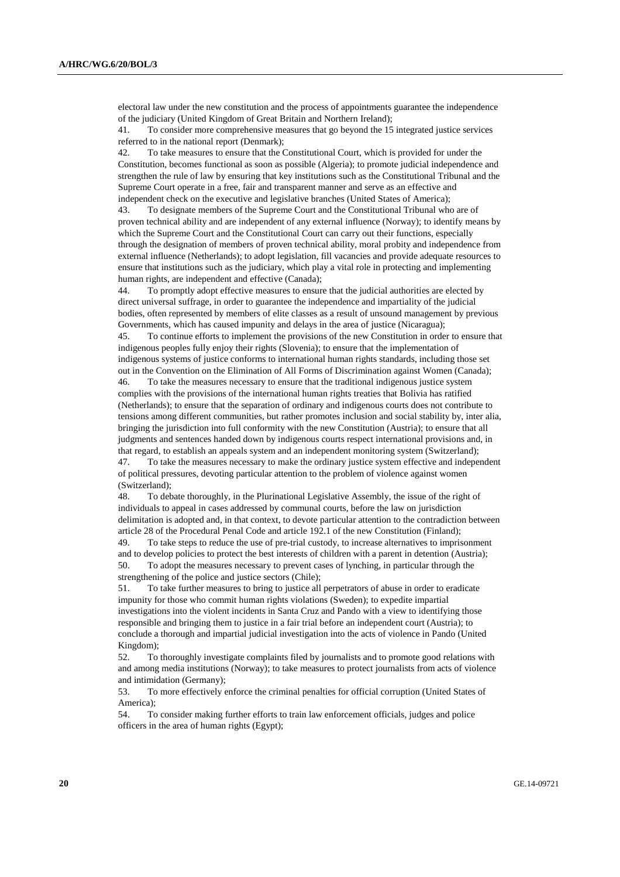electoral law under the new constitution and the process of appointments guarantee the independence of the judiciary (United Kingdom of Great Britain and Northern Ireland);

 41. To consider more comprehensive measures that go beyond the 15 integrated justice services referred to in the national report (Denmark);

 42. To take measures to ensure that the Constitutional Court, which is provided for under the Constitution, becomes functional as soon as possible (Algeria); to promote judicial independence and strengthen the rule of law by ensuring that key institutions such as the Constitutional Tribunal and the Supreme Court operate in a free, fair and transparent manner and serve as an effective and independent check on the executive and legislative branches (United States of America);

 43. To designate members of the Supreme Court and the Constitutional Tribunal who are of proven technical ability and are independent of any external influence (Norway); to identify means by which the Supreme Court and the Constitutional Court can carry out their functions, especially through the designation of members of proven technical ability, moral probity and independence from external influence (Netherlands); to adopt legislation, fill vacancies and provide adequate resources to ensure that institutions such as the judiciary, which play a vital role in protecting and implementing human rights, are independent and effective (Canada);

 44. To promptly adopt effective measures to ensure that the judicial authorities are elected by direct universal suffrage, in order to guarantee the independence and impartiality of the judicial bodies, often represented by members of elite classes as a result of unsound management by previous Governments, which has caused impunity and delays in the area of justice (Nicaragua);

 45. To continue efforts to implement the provisions of the new Constitution in order to ensure that indigenous peoples fully enjoy their rights (Slovenia); to ensure that the implementation of indigenous systems of justice conforms to international human rights standards, including those set out in the Convention on the Elimination of All Forms of Discrimination against Women (Canada);

 46. To take the measures necessary to ensure that the traditional indigenous justice system complies with the provisions of the international human rights treaties that Bolivia has ratified (Netherlands); to ensure that the separation of ordinary and indigenous courts does not contribute to tensions among different communities, but rather promotes inclusion and social stability by, inter alia, bringing the jurisdiction into full conformity with the new Constitution (Austria); to ensure that all judgments and sentences handed down by indigenous courts respect international provisions and, in that regard, to establish an appeals system and an independent monitoring system (Switzerland); 47. To take the measures necessary to make the ordinary justice system effective and independent

of political pressures, devoting particular attention to the problem of violence against women (Switzerland);

 48. To debate thoroughly, in the Plurinational Legislative Assembly, the issue of the right of individuals to appeal in cases addressed by communal courts, before the law on jurisdiction delimitation is adopted and, in that context, to devote particular attention to the contradiction between article 28 of the Procedural Penal Code and article 192.1 of the new Constitution (Finland); 49. To take steps to reduce the use of pre-trial custody, to increase alternatives to imprisonment

and to develop policies to protect the best interests of children with a parent in detention (Austria); 50. To adopt the measures necessary to prevent cases of lynching, in particular through the strengthening of the police and justice sectors (Chile);

 51. To take further measures to bring to justice all perpetrators of abuse in order to eradicate impunity for those who commit human rights violations (Sweden); to expedite impartial investigations into the violent incidents in Santa Cruz and Pando with a view to identifying those responsible and bringing them to justice in a fair trial before an independent court (Austria); to conclude a thorough and impartial judicial investigation into the acts of violence in Pando (United Kingdom);

 52. To thoroughly investigate complaints filed by journalists and to promote good relations with and among media institutions (Norway); to take measures to protect journalists from acts of violence and intimidation (Germany);

 53. To more effectively enforce the criminal penalties for official corruption (United States of America);

 54. To consider making further efforts to train law enforcement officials, judges and police officers in the area of human rights (Egypt);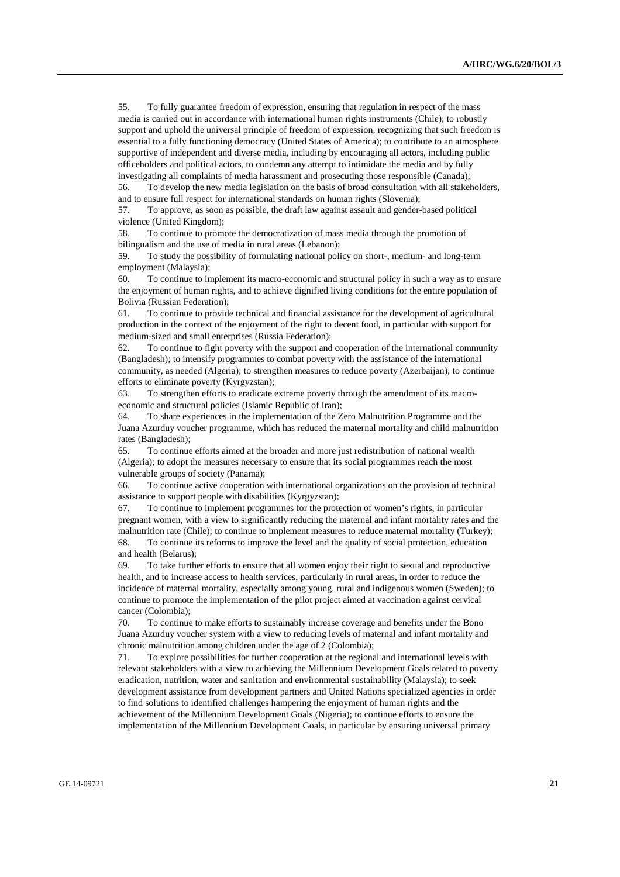55. To fully guarantee freedom of expression, ensuring that regulation in respect of the mass media is carried out in accordance with international human rights instruments (Chile); to robustly support and uphold the universal principle of freedom of expression, recognizing that such freedom is essential to a fully functioning democracy (United States of America); to contribute to an atmosphere supportive of independent and diverse media, including by encouraging all actors, including public officeholders and political actors, to condemn any attempt to intimidate the media and by fully investigating all complaints of media harassment and prosecuting those responsible (Canada);

 56. To develop the new media legislation on the basis of broad consultation with all stakeholders, and to ensure full respect for international standards on human rights (Slovenia);

 57. To approve, as soon as possible, the draft law against assault and gender-based political violence (United Kingdom);

 58. To continue to promote the democratization of mass media through the promotion of bilingualism and the use of media in rural areas (Lebanon);

 59. To study the possibility of formulating national policy on short-, medium- and long-term employment (Malaysia);

 60. To continue to implement its macro-economic and structural policy in such a way as to ensure the enjoyment of human rights, and to achieve dignified living conditions for the entire population of Bolivia (Russian Federation);

 61. To continue to provide technical and financial assistance for the development of agricultural production in the context of the enjoyment of the right to decent food, in particular with support for medium-sized and small enterprises (Russia Federation);

 62. To continue to fight poverty with the support and cooperation of the international community (Bangladesh); to intensify programmes to combat poverty with the assistance of the international community, as needed (Algeria); to strengthen measures to reduce poverty (Azerbaijan); to continue efforts to eliminate poverty (Kyrgyzstan);

 63. To strengthen efforts to eradicate extreme poverty through the amendment of its macroeconomic and structural policies (Islamic Republic of Iran);

 64. To share experiences in the implementation of the Zero Malnutrition Programme and the Juana Azurduy voucher programme, which has reduced the maternal mortality and child malnutrition rates (Bangladesh);

 65. To continue efforts aimed at the broader and more just redistribution of national wealth (Algeria); to adopt the measures necessary to ensure that its social programmes reach the most vulnerable groups of society (Panama);

 66. To continue active cooperation with international organizations on the provision of technical assistance to support people with disabilities (Kyrgyzstan);

To continue to implement programmes for the protection of women's rights, in particular pregnant women, with a view to significantly reducing the maternal and infant mortality rates and the malnutrition rate (Chile); to continue to implement measures to reduce maternal mortality (Turkey); 68. To continue its reforms to improve the level and the quality of social protection, education and health (Belarus);

 69. To take further efforts to ensure that all women enjoy their right to sexual and reproductive health, and to increase access to health services, particularly in rural areas, in order to reduce the incidence of maternal mortality, especially among young, rural and indigenous women (Sweden); to continue to promote the implementation of the pilot project aimed at vaccination against cervical cancer (Colombia);

 70. To continue to make efforts to sustainably increase coverage and benefits under the Bono Juana Azurduy voucher system with a view to reducing levels of maternal and infant mortality and chronic malnutrition among children under the age of 2 (Colombia);

 71. To explore possibilities for further cooperation at the regional and international levels with relevant stakeholders with a view to achieving the Millennium Development Goals related to poverty eradication, nutrition, water and sanitation and environmental sustainability (Malaysia); to seek development assistance from development partners and United Nations specialized agencies in order to find solutions to identified challenges hampering the enjoyment of human rights and the achievement of the Millennium Development Goals (Nigeria); to continue efforts to ensure the implementation of the Millennium Development Goals, in particular by ensuring universal primary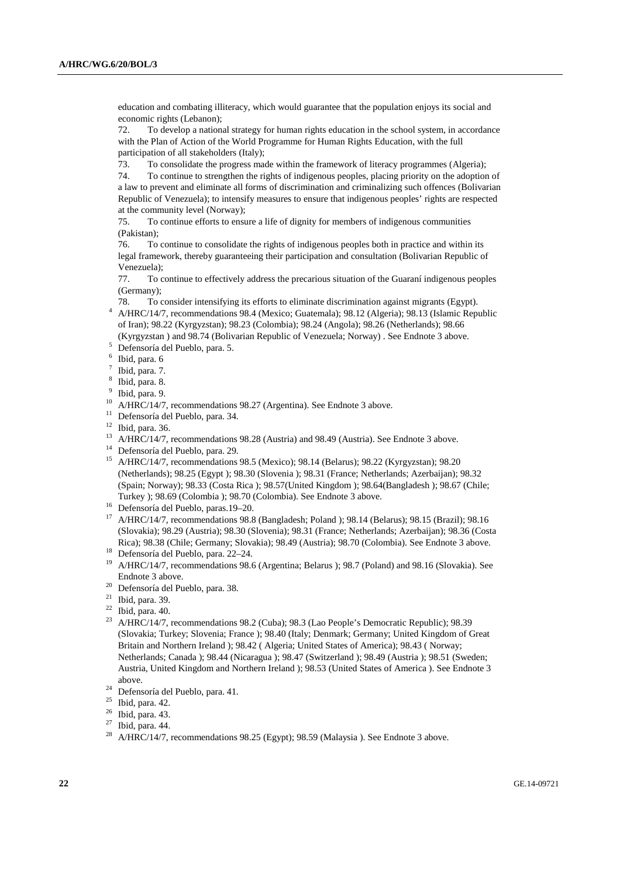education and combating illiteracy, which would guarantee that the population enjoys its social and economic rights (Lebanon);

 72. To develop a national strategy for human rights education in the school system, in accordance with the Plan of Action of the World Programme for Human Rights Education, with the full participation of all stakeholders (Italy);

73. To consolidate the progress made within the framework of literacy programmes (Algeria);

 74. To continue to strengthen the rights of indigenous peoples, placing priority on the adoption of a law to prevent and eliminate all forms of discrimination and criminalizing such offences (Bolivarian Republic of Venezuela); to intensify measures to ensure that indigenous peoples' rights are respected at the community level (Norway);

 75. To continue efforts to ensure a life of dignity for members of indigenous communities (Pakistan);

 76. To continue to consolidate the rights of indigenous peoples both in practice and within its legal framework, thereby guaranteeing their participation and consultation (Bolivarian Republic of Venezuela);

 77. To continue to effectively address the precarious situation of the Guaraní indigenous peoples (Germany);

78. To consider intensifying its efforts to eliminate discrimination against migrants (Egypt). 4

- A/HRC/14/7, recommendations 98.4 (Mexico; Guatemala); 98.12 (Algeria); 98.13 (Islamic Republic of Iran); 98.22 (Kyrgyzstan); 98.23 (Colombia); 98.24 (Angola); 98.26 (Netherlands); 98.66
- (Kyrgyzstan ) and 98.74 (Bolivarian Republic of Venezuela; Norway) . See Endnote 3 above. 5 Defensoría del Pueblo, para. 5.
- 6 Ibid, para. 6
- 7 Ibid, para. 7.
- 8 Ibid, para. 8.
- <sup>9</sup> Ibid, para. 9.
- <sup>10</sup> A/HRC/14/7, recommendations 98.27 (Argentina). See Endnote 3 above.
- <sup>11</sup> Defensoría del Pueblo, para. 34.
- $12$  Ibid, para. 36.
- <sup>13</sup> A/HRC/14/7, recommendations 98.28 (Austria) and 98.49 (Austria). See Endnote 3 above.
- 14 Defensoría del Pueblo, para. 29.
- 15 A/HRC/14/7, recommendations 98.5 (Mexico); 98.14 (Belarus); 98.22 (Kyrgyzstan); 98.20 (Netherlands); 98.25 (Egypt ); 98.30 (Slovenia ); 98.31 (France; Netherlands; Azerbaijan); 98.32 (Spain; Norway); 98.33 (Costa Rica ); 98.57(United Kingdom ); 98.64(Bangladesh ); 98.67 (Chile; Turkey ); 98.69 (Colombia ); 98.70 (Colombia). See Endnote 3 above. 16 Defensoría del Pueblo, paras.19–20.
- 
- 17 A/HRC/14/7, recommendations 98.8 (Bangladesh; Poland ); 98.14 (Belarus); 98.15 (Brazil); 98.16 (Slovakia); 98.29 (Austria); 98.30 (Slovenia); 98.31 (France; Netherlands; Azerbaijan); 98.36 (Costa Rica); 98.38 (Chile; Germany; Slovakia); 98.49 (Austria); 98.70 (Colombia). See Endnote 3 above. 18 Defensoría del Pueblo, para. 22–24.
- 
- <sup>19</sup> A/HRC/14/7, recommendations 98.6 (Argentina; Belarus ); 98.7 (Poland) and 98.16 (Slovakia). See Endnote 3 above.
- 20 Defensoría del Pueblo, para. 38.
- $21$  Ibid, para. 39.
- $22$  Ibid, para. 40.
- <sup>23</sup> A/HRC/14/7, recommendations 98.2 (Cuba); 98.3 (Lao People's Democratic Republic); 98.39 (Slovakia; Turkey; Slovenia; France ); 98.40 (Italy; Denmark; Germany; United Kingdom of Great Britain and Northern Ireland ); 98.42 ( Algeria; United States of America); 98.43 ( Norway; Netherlands; Canada ); 98.44 (Nicaragua ); 98.47 (Switzerland ); 98.49 (Austria ); 98.51 (Sweden; Austria, United Kingdom and Northern Ireland ); 98.53 (United States of America ). See Endnote 3 above. 24 Defensoría del Pueblo, para. 41.
- 
- $^{25}$  Ibid, para. 42.
- Ibid, para. 43.
- $27$  Ibid, para. 44.
- <sup>28</sup> A/HRC/14/7, recommendations 98.25 (Egypt); 98.59 (Malaysia ). See Endnote 3 above.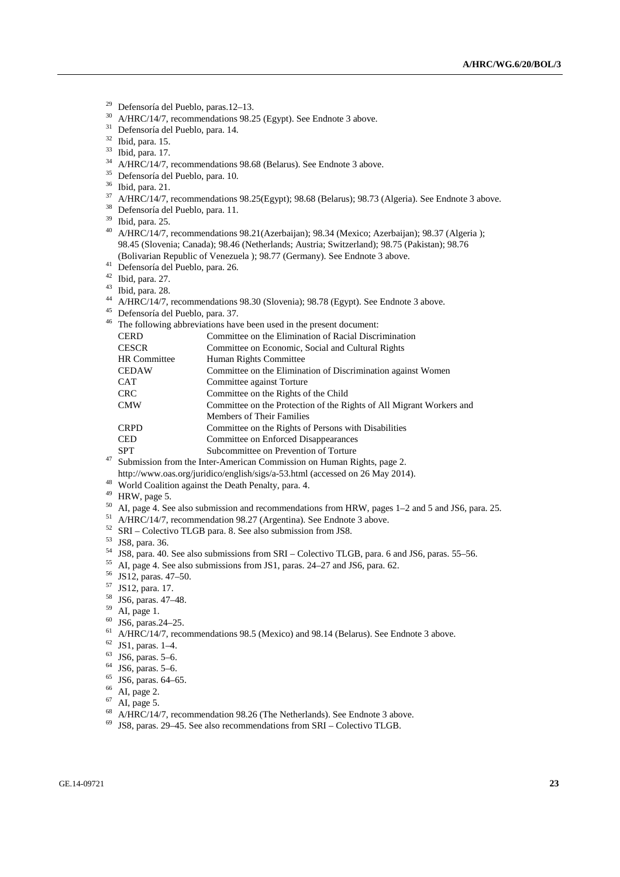- <sup>29</sup> Defensoría del Pueblo, paras.12–13.<br><sup>30</sup> ALIDC/14/7 recommendations 08.2
- <sup>30</sup> A/HRC/14/7, recommendations 98.25 (Egypt). See Endnote 3 above.<br><sup>31</sup> Defensoría del Pueblo para 14
- Defensoría del Pueblo, para. 14.
- 32 Ibid, para. 15.
- $\frac{33}{34}$  Ibid, para. 17.
- 34 A/HRC/14/7, recommendations 98.68 (Belarus). See Endnote 3 above.
- 35 Defensoría del Pueblo, para. 10.
- $\frac{36}{37}$  Ibid, para. 21.
- 37 A/HRC/14/7, recommendations 98.25(Egypt); 98.68 (Belarus); 98.73 (Algeria). See Endnote 3 above.
- 38 Defensoría del Pueblo, para. 11.
- 39 Ibid, para. 25.
- <sup>40</sup> A/HRC/14/7, recommendations 98.21(Azerbaijan); 98.34 (Mexico; Azerbaijan); 98.37 (Algeria); 98.45 (Slovenia; Canada); 98.46 (Netherlands; Austria; Switzerland); 98.75 (Pakistan); 98.76 (Bolivarian Republic of Venezuela ); 98.77 (Germany). See Endnote 3 above. 41 Defensoría del Pueblo, para. 26.
- 
- 42 Ibid, para. 27.
- $43$  Ibid, para. 28.
- 44 A/HRC/14/7, recommendations 98.30 (Slovenia); 98.78 (Egypt). See Endnote 3 above. 45 Defensoría del Pueblo, para. 37.
- 
- <sup>46</sup> The following abbreviations have been used in the present document:

| CERD                | Committee on the Elimination of Racial Discrimination                |
|---------------------|----------------------------------------------------------------------|
| <b>CESCR</b>        | Committee on Economic, Social and Cultural Rights                    |
| <b>HR</b> Committee | Human Rights Committee                                               |
| <b>CEDAW</b>        | Committee on the Elimination of Discrimination against Women         |
| CAT                 | Committee against Torture                                            |
| CRC                 | Committee on the Rights of the Child                                 |
| CMW                 | Committee on the Protection of the Rights of All Migrant Workers and |
|                     | <b>Members of Their Families</b>                                     |
| <b>CRPD</b>         | Committee on the Rights of Persons with Disabilities                 |
| CED                 | Committee on Enforced Disappearances                                 |
| SPT                 | Subcommittee on Prevention of Torture                                |
|                     |                                                                      |

- $47$  Submission from the Inter-American Commission on Human Rights, page 2.
- http://www.oas.org/juridico/english/sigs/a-53.html (accessed on 26 May 2014). 48 World Coalition against the Death Penalty, para. 4.
- 
- 49 HRW, page 5.
- $50$  AI, page 4. See also submission and recommendations from HRW, pages 1–2 and 5 and JS6, para. 25.
- 51 A/HRC/14/7, recommendation 98.27 (Argentina). See Endnote 3 above.
- 52 SRI Colectivo TLGB para. 8. See also submission from JS8.
- 53 JS8, para. 36.
- 54 JS8, para. 40. See also submissions from SRI Colectivo TLGB, para. 6 and JS6, paras. 55–56.
- 55 AI, page 4. See also submissions from JS1, paras. 24–27 and JS6, para. 62.
- 56 JS12, paras. 47–50.
- 57 JS12, para. 17.
- 58 JS6, paras. 47–48.
- 59 AI, page 1.
- 60 JS6, paras.24–25.
- 61 A/HRC/14/7, recommendations 98.5 (Mexico) and 98.14 (Belarus). See Endnote 3 above.
- 62 JS1, paras. 1–4.
- $^{63}$  JS6, paras. 5–6.<br> $^{64}$  JS6 paras. 5–6.
- $^{64}$  JS6, paras. 5–6.<br> $^{65}$  JS6 paras 64–6
- $\frac{65}{66}$  JS6, paras. 64–65.
- AI, page 2.
- $\frac{67}{68}$  AI, page 5.
- 68 A/HRC/14/7, recommendation 98.26 (The Netherlands). See Endnote 3 above.
- $69$  JS8, paras. 29–45. See also recommendations from SRI Colectivo TLGB.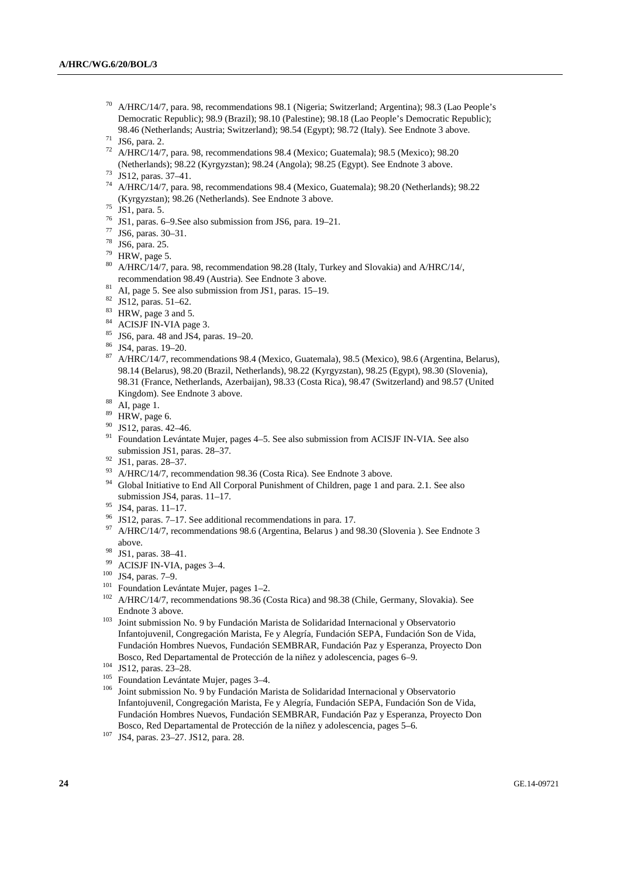- 70 A/HRC/14/7, para. 98, recommendations 98.1 (Nigeria; Switzerland; Argentina); 98.3 (Lao People's Democratic Republic); 98.9 (Brazil); 98.10 (Palestine); 98.18 (Lao People's Democratic Republic); 98.46 (Netherlands; Austria; Switzerland); 98.54 (Egypt); 98.72 (Italy). See Endnote 3 above. 71 JS6, para. 2.
- 
- 72 A/HRC/14/7, para. 98, recommendations 98.4 (Mexico; Guatemala); 98.5 (Mexico); 98.20 (Netherlands); 98.22 (Kyrgyzstan); 98.24 (Angola); 98.25 (Egypt). See Endnote 3 above. 73 JS12, paras. 37–41.
- 
- 74 A/HRC/14/7, para. 98, recommendations 98.4 (Mexico, Guatemala); 98.20 (Netherlands); 98.22 (Kyrgyzstan); 98.26 (Netherlands). See Endnote 3 above. 75 JS1, para. 5.
- 
- 76 JS1, paras. 6–9.See also submission from JS6, para. 19–21.
- 77 JS6, paras. 30–31.
- 78 JS6, para. 25.
- $79$  HRW, page 5.
- 80 A/HRC/14/7, para. 98, recommendation 98.28 (Italy, Turkey and Slovakia) and A/HRC/14/, recommendation 98.49 (Austria). See Endnote 3 above. 81 AI, page 5. See also submission from JS1, paras. 15–19.
- 
- $82$  JS12, paras. 51–62.
- $83$  HRW, page 3 and 5.
- 84 ACISJF IN-VIA page 3.
- 85 JS6, para. 48 and JS4, paras. 19–20.
- 86 JS4, paras. 19–20.
- 87 A/HRC/14/7, recommendations 98.4 (Mexico, Guatemala), 98.5 (Mexico), 98.6 (Argentina, Belarus), 98.14 (Belarus), 98.20 (Brazil, Netherlands), 98.22 (Kyrgyzstan), 98.25 (Egypt), 98.30 (Slovenia), 98.31 (France, Netherlands, Azerbaijan), 98.33 (Costa Rica), 98.47 (Switzerland) and 98.57 (United Kingdom). See Endnote 3 above.<br><sup>88</sup> AI, page 1.<br><sup>89</sup> HDW page 6
- 
- HRW, page 6.
- $^{90}$  JS12, paras. 42–46.
- 91 Foundation Levántate Mujer, pages 4–5. See also submission from ACISJF IN-VIA. See also submission JS1, paras. 28–37. 92 JS1, paras. 28–37.
- 
- <sup>93</sup> A/HRC/14/7, recommendation 98.36 (Costa Rica). See Endnote 3 above.
- 94 Global Initiative to End All Corporal Punishment of Children, page 1 and para. 2.1. See also submission JS4, paras. 11–17. 95 JS4, paras. 11–17.
- 
- 96 JS12, paras. 7–17. See additional recommendations in para. 17.
- <sup>97</sup> A/HRC/14/7, recommendations 98.6 (Argentina, Belarus ) and 98.30 (Slovenia ). See Endnote 3 above.<br><sup>98</sup> JS1, paras. 38–41.<br><sup>99</sup> ACISJF IN-VIA, pages 3–4.
- 
- 
- 
- 
- <sup>100</sup> JS4, paras. 7–9.<br><sup>101</sup> Foundation Levántate Mujer, pages 1–2.<br><sup>102</sup> A/HRC/14/7, recommendations 98.36 (Costa Rica) and 98.38 (Chile, Germany, Slovakia). See Endnote 3 above. 103 Joint submission No. 9 by Fundación Marista de Solidaridad Internacional y Observatorio
- Infantojuvenil, Congregación Marista, Fe y Alegría, Fundación SEPA, Fundación Son de Vida, Fundación Hombres Nuevos, Fundación SEMBRAR, Fundación Paz y Esperanza, Proyecto Don
- 
- 
- Bosco, Red Departamental de Protección de la niñez y adolescencia, pages 6–9.<br>
104 JS12, paras. 23–28.<br>
<sup>105</sup> Foundation Levántate Mujer, pages 3–4.<br>
<sup>105</sup> Joint submission No. 9 by Fundación Marista de Solidaridad Interna Infantojuvenil, Congregación Marista, Fe y Alegría, Fundación SEPA, Fundación Son de Vida, Fundación Hombres Nuevos, Fundación SEMBRAR, Fundación Paz y Esperanza, Proyecto Don Bosco, Red Departamental de Protección de la niñez y adolescencia, pages 5–6. 107 JS4, paras. 23–27. JS12, para. 28.
-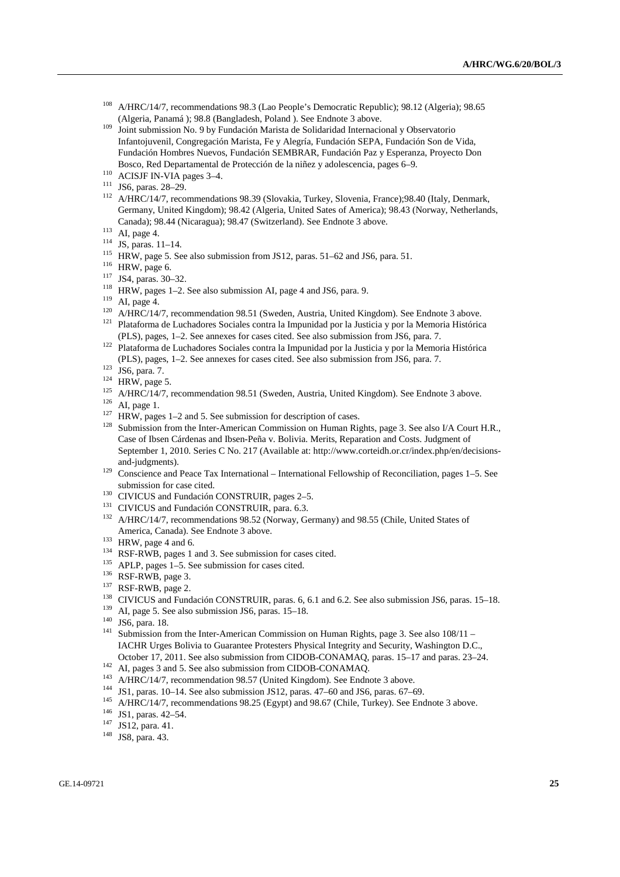- <sup>108</sup> A/HRC/14/7, recommendations 98.3 (Lao People's Democratic Republic); 98.12 (Algeria); 98.65 (Algeria, Panamá); 98.8 (Bangladesh, Poland). See Endnote 3 above.
- <sup>109</sup> Joint submission No. 9 by Fundación Marista de Solidaridad Internacional y Observatorio Infantojuvenil, Congregación Marista, Fe y Alegría, Fundación SEPA, Fundación Son de Vida, Fundación Hombres Nuevos, Fundación SEMBRAR, Fundación Paz y Esperanza, Proyecto Don
- Bosco, Red Departamental de Protección de la niñez y adolescencia, pages 6–9.<br>
<sup>110</sup> ACISJF IN-VIA pages 3–4.<br>
<sup>111</sup> JS6, paras. 28–29.<br>
<sup>112</sup> A/HRC/14/7, recommendations 98.39 (Slovakia, Turkey, Slovenia, France);98.40 (I Germany, United Kingdom); 98.42 (Algeria, United Sates of America); 98.43 (Norway, Netherlands,
- 
- 
- 
- 
- 
- 
- 
- Canada); 98.44 (Nicaragua); 98.47 (Switzerland). See Endnote 3 above.<br>
<sup>113</sup> AI, page 4.<br>
<sup>114</sup> JS, paras. 11–14.<br>
<sup>115</sup> HRW, page 5. See also submission from JS12, paras. 51–62 and JS6, para. 51.<br>
<sup>116</sup> HRW, page 6.<br>
<sup>117</sup>
- (PLS), pages, 1–2. See annexes for cases cited. See also submission from JS6, para. 7. 122 Plataforma de Luchadores Sociales contra la Impunidad por la Justicia y por la Memoria Histórica
- (PLS), pages, 1–2. See annexes for cases cited. See also submission from JS6, para. 7.<br>
<sup>123</sup> JS6, para. 7.<br>
<sup>124</sup> HRW, page 5.<br>
<sup>124</sup> HRW, page 5.<br>
<sup>126</sup> A/HRC/14/7, recommendation 98.51 (Sweden, Austria, United Kingdom)
- 
- 
- 
- 
- 
- Case of Ibsen Cárdenas and Ibsen-Peña v. Bolivia. Merits, Reparation and Costs. Judgment of September 1, 2010. Series C No. 217 (Available at: http://www.corteidh.or.cr/index.php/en/decisionsand-judgments).<br><sup>129</sup> Conscience and Peace Tax International – International Fellowship of Reconciliation, pages 1–5. See
- 
- 
- 
- submission for case cited.<br>
130 CIVICUS and Fundación CONSTRUIR, pages 2–5.<br>
131 CIVICUS and Fundación CONSTRUIR, para. 6.3.<br>
132 A/HRC/14/7, recommendations 98.52 (Norway, Germany) and 98.55 (Chile, United States of
- 
- 
- 
- 
- 
- 
- 
- 
- America, Canada). See Endnote 3 above.<br>
<sup>133</sup> HRW, page 4 and 6.<br>
<sup>134</sup> RSF-RWB, pages 1 and 3. See submission for cases cited.<br>
<sup>136</sup> RSF-RWB, pages 1-5. See submission for cases cited.<br>
<sup>136</sup> RSF-RWB, page 3.<br>
<sup>137</sup> RSF-IACHR Urges Bolivia to Guarantee Protesters Physical Integrity and Security, Washington D.C., October 17, 2011. See also submission from CIDOB-CONAMAQ, paras. 15–17 and paras. 23–24.<br><sup>142</sup> AI, pages 3 and 5. See also submission from CIDOB-CONAMAQ.<br><sup>143</sup> A/HRC/14/7, recommendation 98.57 (United Kingdom). See Endnote
- 
- 
- 
- 
- 
- 
-